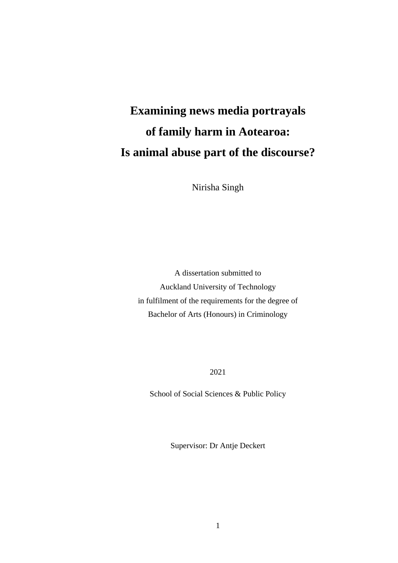# **Examining news media portrayals of family harm in Aotearoa: Is animal abuse part of the discourse?**

Nirisha Singh

A dissertation submitted to Auckland University of Technology in fulfilment of the requirements for the degree of Bachelor of Arts (Honours) in Criminology

2021

School of Social Sciences & Public Policy

Supervisor: Dr Antje Deckert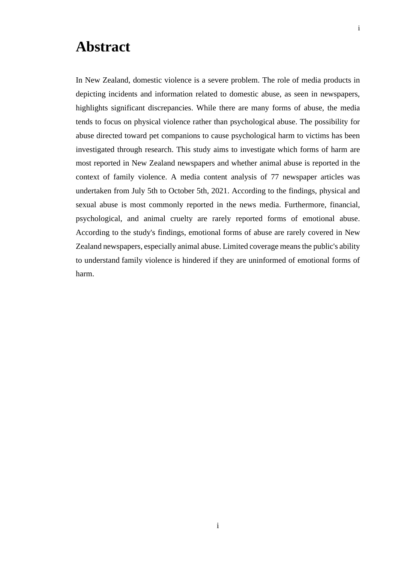### <span id="page-1-0"></span>**Abstract**

In New Zealand, domestic violence is a severe problem. The role of media products in depicting incidents and information related to domestic abuse, as seen in newspapers, highlights significant discrepancies. While there are many forms of abuse, the media tends to focus on physical violence rather than psychological abuse. The possibility for abuse directed toward pet companions to cause psychological harm to victims has been investigated through research. This study aims to investigate which forms of harm are most reported in New Zealand newspapers and whether animal abuse is reported in the context of family violence. A media content analysis of 77 newspaper articles was undertaken from July 5th to October 5th, 2021. According to the findings, physical and sexual abuse is most commonly reported in the news media. Furthermore, financial, psychological, and animal cruelty are rarely reported forms of emotional abuse. According to the study's findings, emotional forms of abuse are rarely covered in New Zealand newspapers, especially animal abuse. Limited coverage means the public's ability to understand family violence is hindered if they are uninformed of emotional forms of harm.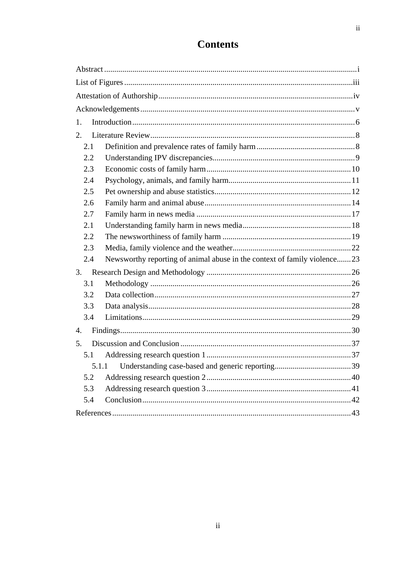| 1.  |                                                                          |  |
|-----|--------------------------------------------------------------------------|--|
| 2.  |                                                                          |  |
| 2.1 |                                                                          |  |
| 2.2 |                                                                          |  |
| 2.3 |                                                                          |  |
| 2.4 |                                                                          |  |
| 2.5 |                                                                          |  |
| 2.6 |                                                                          |  |
| 2.7 |                                                                          |  |
| 2.1 |                                                                          |  |
| 2.2 |                                                                          |  |
| 2.3 |                                                                          |  |
| 2.4 | Newsworthy reporting of animal abuse in the context of family violence23 |  |
| 3.  |                                                                          |  |
| 3.1 |                                                                          |  |
| 3.2 |                                                                          |  |
| 3.3 |                                                                          |  |
| 3.4 |                                                                          |  |
| 4.  |                                                                          |  |
| 5.  |                                                                          |  |
| 5.1 |                                                                          |  |
|     |                                                                          |  |
| 5.2 |                                                                          |  |
| 5.3 |                                                                          |  |
| 5.4 |                                                                          |  |
|     |                                                                          |  |

### **Contents**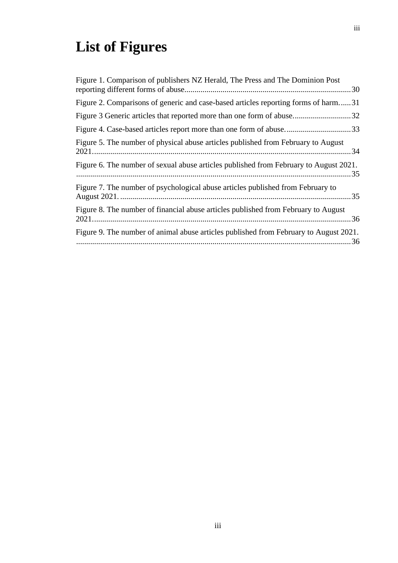# <span id="page-3-0"></span>**List of Figures**

| Figure 1. Comparison of publishers NZ Herald, The Press and The Dominion Post         |  |
|---------------------------------------------------------------------------------------|--|
| Figure 2. Comparisons of generic and case-based articles reporting forms of harm31    |  |
|                                                                                       |  |
|                                                                                       |  |
| Figure 5. The number of physical abuse articles published from February to August     |  |
| Figure 6. The number of sexual abuse articles published from February to August 2021. |  |
| Figure 7. The number of psychological abuse articles published from February to       |  |
| Figure 8. The number of financial abuse articles published from February to August    |  |
| Figure 9. The number of animal abuse articles published from February to August 2021. |  |
|                                                                                       |  |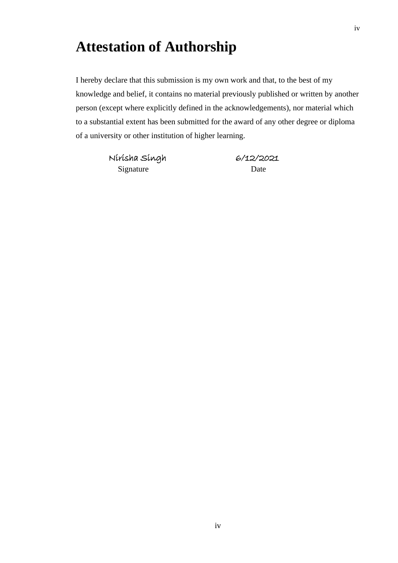# <span id="page-4-0"></span>**Attestation of Authorship**

I hereby declare that this submission is my own work and that, to the best of my knowledge and belief, it contains no material previously published or written by another person (except where explicitly defined in the acknowledgements), nor material which to a substantial extent has been submitted for the award of any other degree or diploma of a university or other institution of higher learning.

> Nirisha Singh 6/12/2021 Signature Date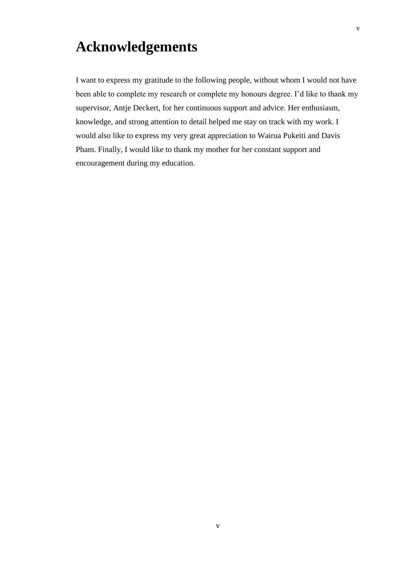# <span id="page-5-0"></span>**Acknowledgements**

I want to express my gratitude to the following people, without whom I would not have been able to complete my research or complete my honours degree. I'd like to thank my supervisor, Antje Deckert, for her continuous support and advice. Her enthusiasm, knowledge, and strong attention to detail helped me stay on track with my work. I would also like to express my very great appreciation to Wairua Pukeiti and Davis Pham. Finally, I would like to thank my mother for her constant support and encouragement during my education.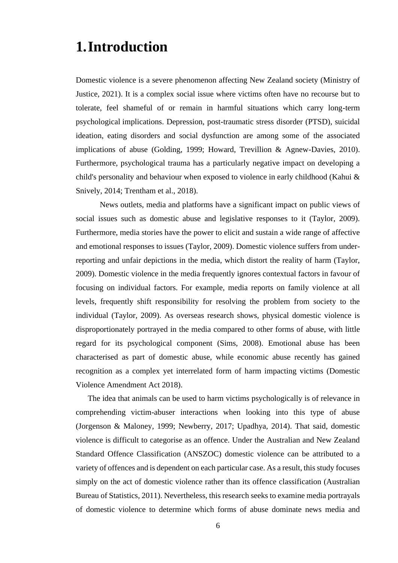### <span id="page-6-0"></span>**1.Introduction**

Domestic violence is a severe phenomenon affecting New Zealand society (Ministry of Justice, 2021). It is a complex social issue where victims often have no recourse but to tolerate, feel shameful of or remain in harmful situations which carry long-term psychological implications. Depression, post-traumatic stress disorder (PTSD), suicidal ideation, eating disorders and social dysfunction are among some of the associated implications of abuse (Golding, 1999; Howard, Trevillion & Agnew-Davies, 2010). Furthermore, psychological trauma has a particularly negative impact on developing a child's personality and behaviour when exposed to violence in early childhood (Kahui & Snively, 2014; Trentham et al., 2018).

News outlets, media and platforms have a significant impact on public views of social issues such as domestic abuse and legislative responses to it (Taylor, 2009). Furthermore, media stories have the power to elicit and sustain a wide range of affective and emotional responses to issues (Taylor, 2009). Domestic violence suffers from underreporting and unfair depictions in the media, which distort the reality of harm (Taylor, 2009). Domestic violence in the media frequently ignores contextual factors in favour of focusing on individual factors. For example, media reports on family violence at all levels, frequently shift responsibility for resolving the problem from society to the individual (Taylor, 2009). As overseas research shows, physical domestic violence is disproportionately portrayed in the media compared to other forms of abuse, with little regard for its psychological component (Sims, 2008). Emotional abuse has been characterised as part of domestic abuse, while economic abuse recently has gained recognition as a complex yet interrelated form of harm impacting victims (Domestic Violence Amendment Act 2018).

The idea that animals can be used to harm victims psychologically is of relevance in comprehending victim-abuser interactions when looking into this type of abuse (Jorgenson & Maloney, 1999; Newberry, 2017; Upadhya, 2014). That said, domestic violence is difficult to categorise as an offence. Under the Australian and New Zealand Standard Offence Classification (ANSZOC) domestic violence can be attributed to a variety of offences and is dependent on each particular case. As a result, this study focuses simply on the act of domestic violence rather than its offence classification (Australian Bureau of Statistics, 2011). Nevertheless, this research seeks to examine media portrayals of domestic violence to determine which forms of abuse dominate news media and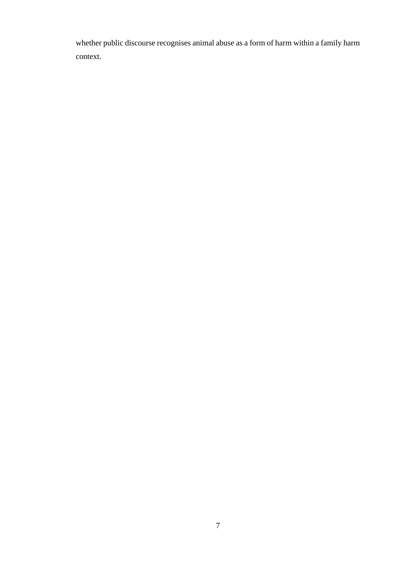whether public discourse recognises animal abuse as a form of harm within a family harm context.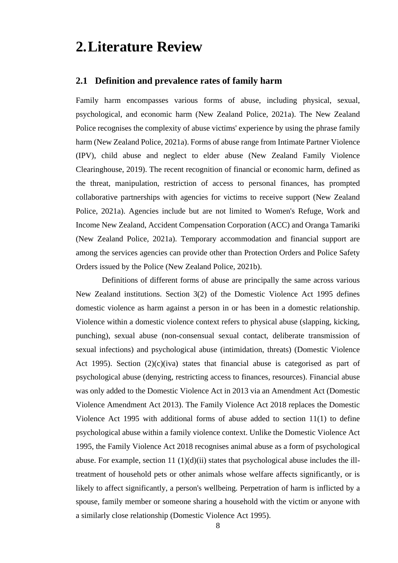### <span id="page-8-0"></span>**2.Literature Review**

### <span id="page-8-1"></span>**2.1 Definition and prevalence rates of family harm**

Family harm encompasses various forms of abuse, including physical, sexual, psychological, and economic harm (New Zealand Police, 2021a). The New Zealand Police recognises the complexity of abuse victims' experience by using the phrase family harm (New Zealand Police, 2021a). Forms of abuse range from Intimate Partner Violence (IPV), child abuse and neglect to elder abuse (New Zealand Family Violence Clearinghouse, 2019). The recent recognition of financial or economic harm, defined as the threat, manipulation, restriction of access to personal finances, has prompted collaborative partnerships with agencies for victims to receive support (New Zealand Police, 2021a). Agencies include but are not limited to Women's Refuge, Work and Income New Zealand, Accident Compensation Corporation (ACC) and Oranga Tamariki (New Zealand Police, 2021a). Temporary accommodation and financial support are among the services agencies can provide other than Protection Orders and Police Safety Orders issued by the Police (New Zealand Police, 2021b).

Definitions of different forms of abuse are principally the same across various New Zealand institutions. Section 3(2) of the Domestic Violence Act 1995 defines domestic violence as harm against a person in or has been in a domestic relationship. Violence within a domestic violence context refers to physical abuse (slapping, kicking, punching), sexual abuse (non-consensual sexual contact, deliberate transmission of sexual infections) and psychological abuse (intimidation, threats) (Domestic Violence Act 1995). Section (2)(c)(iva) states that financial abuse is categorised as part of psychological abuse (denying, restricting access to finances, resources). Financial abuse was only added to the Domestic Violence Act in 2013 via an Amendment Act (Domestic Violence Amendment Act 2013). The Family Violence Act 2018 replaces the Domestic Violence Act 1995 with additional forms of abuse added to section 11(1) to define psychological abuse within a family violence context. Unlike the Domestic Violence Act 1995, the Family Violence Act 2018 recognises animal abuse as a form of psychological abuse. For example, section 11  $(1)(d)(ii)$  states that psychological abuse includes the illtreatment of household pets or other animals whose welfare affects significantly, or is likely to affect significantly, a person's wellbeing. Perpetration of harm is inflicted by a spouse, family member or someone sharing a household with the victim or anyone with a similarly close relationship (Domestic Violence Act 1995).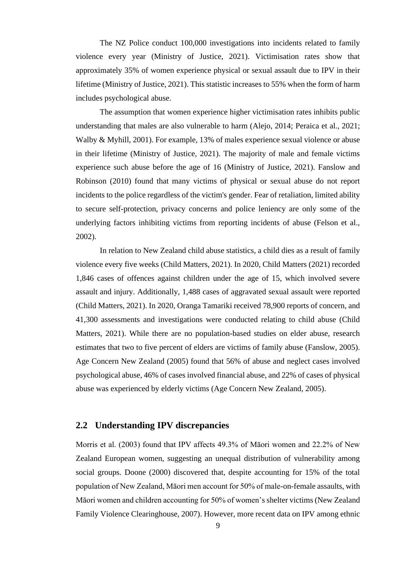The NZ Police conduct 100,000 investigations into incidents related to family violence every year (Ministry of Justice, 2021). Victimisation rates show that approximately 35% of women experience physical or sexual assault due to IPV in their lifetime (Ministry of Justice, 2021). This statistic increases to 55% when the form of harm includes psychological abuse.

The assumption that women experience higher victimisation rates inhibits public understanding that males are also vulnerable to harm (Alejo, 2014; Peraica et al., 2021; Walby & Myhill, 2001). For example, 13% of males experience sexual violence or abuse in their lifetime (Ministry of Justice, 2021). The majority of male and female victims experience such abuse before the age of 16 (Ministry of Justice, 2021). Fanslow and Robinson (2010) found that many victims of physical or sexual abuse do not report incidents to the police regardless of the victim's gender. Fear of retaliation, limited ability to secure self-protection, privacy concerns and police leniency are only some of the underlying factors inhibiting victims from reporting incidents of abuse (Felson et al., 2002).

In relation to New Zealand child abuse statistics, a child dies as a result of family violence every five weeks (Child Matters, 2021). In 2020, Child Matters (2021) recorded 1,846 cases of offences against children under the age of 15, which involved severe assault and injury. Additionally, 1,488 cases of aggravated sexual assault were reported (Child Matters, 2021). In 2020, Oranga Tamariki received 78,900 reports of concern, and 41,300 assessments and investigations were conducted relating to child abuse (Child Matters, 2021). While there are no population-based studies on elder abuse, research estimates that two to five percent of elders are victims of family abuse (Fanslow, 2005). Age Concern New Zealand (2005) found that 56% of abuse and neglect cases involved psychological abuse, 46% of cases involved financial abuse, and 22% of cases of physical abuse was experienced by elderly victims (Age Concern New Zealand, 2005).

### <span id="page-9-0"></span>**2.2 Understanding IPV discrepancies**

Morris et al. (2003) found that IPV affects 49.3% of Māori women and 22.2% of New Zealand European women, suggesting an unequal distribution of vulnerability among social groups. Doone (2000) discovered that, despite accounting for 15% of the total population of New Zealand, Māori men account for 50% of male-on-female assaults, with Māori women and children accounting for 50% of women's shelter victims (New Zealand Family Violence Clearinghouse, 2007). However, more recent data on IPV among ethnic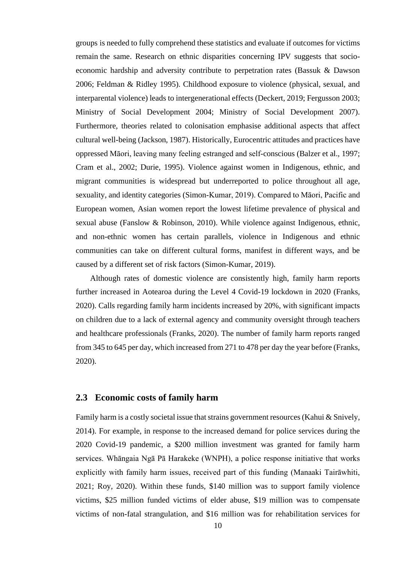groups is needed to fully comprehend these statistics and evaluate if outcomes for victims remain the same. Research on ethnic disparities concerning IPV suggests that socioeconomic hardship and adversity contribute to perpetration rates (Bassuk & Dawson 2006; Feldman & Ridley 1995). Childhood exposure to violence (physical, sexual, and interparental violence) leads to intergenerational effects (Deckert, 2019; Fergusson 2003; Ministry of Social Development 2004; Ministry of Social Development 2007). Furthermore, theories related to colonisation emphasise additional aspects that affect cultural well-being (Jackson, 1987). Historically, Eurocentric attitudes and practices have oppressed Māori, leaving many feeling estranged and self-conscious (Balzer et al., 1997; Cram et al., 2002; Durie, 1995). Violence against women in Indigenous, ethnic, and migrant communities is widespread but underreported to police throughout all age, sexuality, and identity categories (Simon-Kumar, 2019). Compared to Māori, Pacific and European women, Asian women report the lowest lifetime prevalence of physical and sexual abuse (Fanslow & Robinson, 2010). While violence against Indigenous, ethnic, and non-ethnic women has certain parallels, violence in Indigenous and ethnic communities can take on different cultural forms, manifest in different ways, and be caused by a different set of risk factors (Simon-Kumar, 2019).

Although rates of domestic violence are consistently high, family harm reports further increased in Aotearoa during the Level 4 Covid-19 lockdown in 2020 (Franks, 2020). Calls regarding family harm incidents increased by 20%, with significant impacts on children due to a lack of external agency and community oversight through teachers and healthcare professionals (Franks, 2020). The number of family harm reports ranged from 345 to 645 per day, which increased from 271 to 478 per day the year before (Franks, 2020).

### <span id="page-10-0"></span>**2.3 Economic costs of family harm**

Family harm is a costly societal issue that strains government resources (Kahui & Snively, 2014). For example, in response to the increased demand for police services during the 2020 Covid-19 pandemic, a \$200 million investment was granted for family harm services. Whāngaia Ngā Pā Harakeke (WNPH), a police response initiative that works explicitly with family harm issues, received part of this funding (Manaaki Tairāwhiti, 2021; Roy, 2020). Within these funds, \$140 million was to support family violence victims, \$25 million funded victims of elder abuse, \$19 million was to compensate victims of non-fatal strangulation, and \$16 million was for rehabilitation services for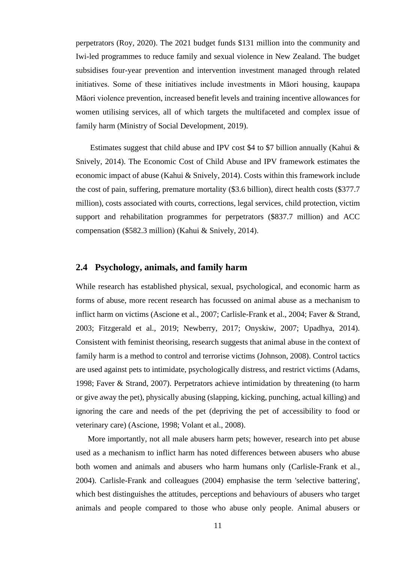perpetrators (Roy, 2020). The 2021 budget funds \$131 million into the community and Iwi-led programmes to reduce family and sexual violence in New Zealand. The budget subsidises four-year prevention and intervention investment managed through related initiatives. Some of these initiatives include investments in Māori housing, kaupapa Māori violence prevention, increased benefit levels and training incentive allowances for women utilising services, all of which targets the multifaceted and complex issue of family harm (Ministry of Social Development, 2019).

Estimates suggest that child abuse and IPV cost \$4 to \$7 billion annually (Kahui  $\&$ Snively, 2014). The Economic Cost of Child Abuse and IPV framework estimates the economic impact of abuse (Kahui & Snively, 2014). Costs within this framework include the cost of pain, suffering, premature mortality (\$3.6 billion), direct health costs (\$377.7 million), costs associated with courts, corrections, legal services, child protection, victim support and rehabilitation programmes for perpetrators (\$837.7 million) and ACC compensation (\$582.3 million) (Kahui & Snively, 2014).

### <span id="page-11-0"></span>**2.4 Psychology, animals, and family harm**

While research has established physical, sexual, psychological, and economic harm as forms of abuse, more recent research has focussed on animal abuse as a mechanism to inflict harm on victims (Ascione et al., 2007; Carlisle-Frank et al., 2004; Faver & Strand, 2003; Fitzgerald et al., 2019; Newberry, 2017; Onyskiw, 2007; Upadhya, 2014). Consistent with feminist theorising, research suggests that animal abuse in the context of family harm is a method to control and terrorise victims (Johnson, 2008). Control tactics are used against pets to intimidate, psychologically distress, and restrict victims (Adams, 1998; Faver & Strand, 2007). Perpetrators achieve intimidation by threatening (to harm or give away the pet), physically abusing (slapping, kicking, punching, actual killing) and ignoring the care and needs of the pet (depriving the pet of accessibility to food or veterinary care) (Ascione, 1998; Volant et al., 2008).

More importantly, not all male abusers harm pets; however, research into pet abuse used as a mechanism to inflict harm has noted differences between abusers who abuse both women and animals and abusers who harm humans only (Carlisle-Frank et al., 2004). Carlisle-Frank and colleagues (2004) emphasise the term 'selective battering', which best distinguishes the attitudes, perceptions and behaviours of abusers who target animals and people compared to those who abuse only people. Animal abusers or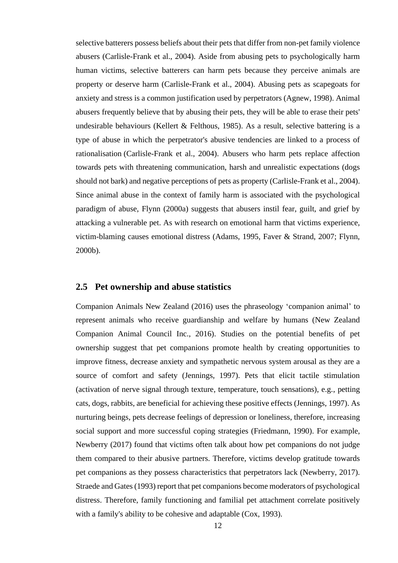selective batterers possess beliefs about their pets that differ from non-pet family violence abusers (Carlisle-Frank et al., 2004). Aside from abusing pets to psychologically harm human victims, selective batterers can harm pets because they perceive animals are property or deserve harm (Carlisle-Frank et al., 2004). Abusing pets as scapegoats for anxiety and stress is a common justification used by perpetrators (Agnew, 1998). Animal abusers frequently believe that by abusing their pets, they will be able to erase their pets' undesirable behaviours (Kellert & Felthous, 1985). As a result, selective battering is a type of abuse in which the perpetrator's abusive tendencies are linked to a process of rationalisation (Carlisle-Frank et al., 2004). Abusers who harm pets replace affection towards pets with threatening communication, harsh and unrealistic expectations (dogs should not bark) and negative perceptions of pets as property (Carlisle-Frank et al., 2004). Since animal abuse in the context of family harm is associated with the psychological paradigm of abuse, Flynn (2000a) suggests that abusers instil fear, guilt, and grief by attacking a vulnerable pet. As with research on emotional harm that victims experience, victim-blaming causes emotional distress (Adams, 1995, Faver & Strand, 2007; Flynn, 2000b).

#### <span id="page-12-0"></span>**2.5 Pet ownership and abuse statistics**

Companion Animals New Zealand (2016) uses the phraseology 'companion animal' to represent animals who receive guardianship and welfare by humans (New Zealand Companion Animal Council Inc., 2016). Studies on the potential benefits of pet ownership suggest that pet companions promote health by creating opportunities to improve fitness, decrease anxiety and sympathetic nervous system arousal as they are a source of comfort and safety (Jennings, 1997). Pets that elicit tactile stimulation (activation of nerve signal through texture, temperature, touch sensations), e.g., petting cats, dogs, rabbits, are beneficial for achieving these positive effects (Jennings, 1997). As nurturing beings, pets decrease feelings of depression or loneliness, therefore, increasing social support and more successful coping strategies (Friedmann, 1990). For example, Newberry (2017) found that victims often talk about how pet companions do not judge them compared to their abusive partners. Therefore, victims develop gratitude towards pet companions as they possess characteristics that perpetrators lack (Newberry, 2017). Straede and Gates (1993) report that pet companions become moderators of psychological distress. Therefore, family functioning and familial pet attachment correlate positively with a family's ability to be cohesive and adaptable (Cox, 1993).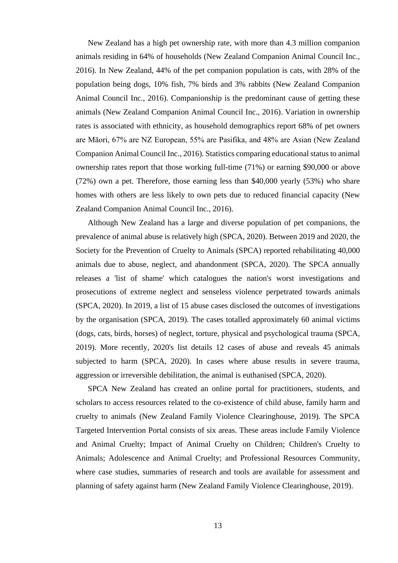New Zealand has a high pet ownership rate, with more than 4.3 million companion animals residing in 64% of households (New Zealand Companion Animal Council Inc., 2016). In New Zealand, 44% of the pet companion population is cats, with 28% of the population being dogs, 10% fish, 7% birds and 3% rabbits (New Zealand Companion Animal Council Inc., 2016). Companionship is the predominant cause of getting these animals (New Zealand Companion Animal Council Inc., 2016). Variation in ownership rates is associated with ethnicity, as household demographics report 68% of pet owners are Māori, 67% are NZ European, 55% are Pasifika, and 48% are Asian (New Zealand Companion Animal Council Inc., 2016). Statistics comparing educational status to animal ownership rates report that those working full-time (71%) or earning \$90,000 or above (72%) own a pet. Therefore, those earning less than \$40,000 yearly (53%) who share homes with others are less likely to own pets due to reduced financial capacity (New Zealand Companion Animal Council Inc., 2016).

Although New Zealand has a large and diverse population of pet companions, the prevalence of animal abuse is relatively high (SPCA, 2020). Between 2019 and 2020, the Society for the Prevention of Cruelty to Animals (SPCA) reported rehabilitating 40,000 animals due to abuse, neglect, and abandonment (SPCA, 2020). The SPCA annually releases a 'list of shame' which catalogues the nation's worst investigations and prosecutions of extreme neglect and senseless violence perpetrated towards animals (SPCA, 2020). In 2019, a list of 15 abuse cases disclosed the outcomes of investigations by the organisation (SPCA, 2019). The cases totalled approximately 60 animal victims (dogs, cats, birds, horses) of neglect, torture, physical and psychological trauma (SPCA, 2019). More recently, 2020's list details 12 cases of abuse and reveals 45 animals subjected to harm (SPCA, 2020). In cases where abuse results in severe trauma, aggression or irreversible debilitation, the animal is euthanised (SPCA, 2020).

SPCA New Zealand has created an online portal for practitioners, students, and scholars to access resources related to the co-existence of child abuse, family harm and cruelty to animals (New Zealand Family Violence Clearinghouse, 2019). The SPCA Targeted Intervention Portal consists of six areas. These areas include Family Violence and Animal Cruelty; Impact of Animal Cruelty on Children; Children's Cruelty to Animals; Adolescence and Animal Cruelty; and Professional Resources Community, where case studies, summaries of research and tools are available for assessment and planning of safety against harm (New Zealand Family Violence Clearinghouse, 2019).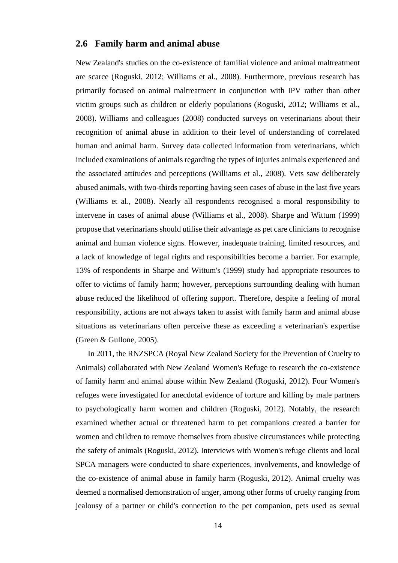### <span id="page-14-0"></span>**2.6 Family harm and animal abuse**

New Zealand's studies on the co-existence of familial violence and animal maltreatment are scarce (Roguski, 2012; Williams et al., 2008). Furthermore, previous research has primarily focused on animal maltreatment in conjunction with IPV rather than other victim groups such as children or elderly populations (Roguski, 2012; Williams et al., 2008). Williams and colleagues (2008) conducted surveys on veterinarians about their recognition of animal abuse in addition to their level of understanding of correlated human and animal harm. Survey data collected information from veterinarians, which included examinations of animals regarding the types of injuries animals experienced and the associated attitudes and perceptions (Williams et al., 2008). Vets saw deliberately abused animals, with two-thirds reporting having seen cases of abuse in the last five years (Williams et al., 2008). Nearly all respondents recognised a moral responsibility to intervene in cases of animal abuse (Williams et al., 2008). Sharpe and Wittum (1999) propose that veterinarians should utilise their advantage as pet care clinicians to recognise animal and human violence signs. However, inadequate training, limited resources, and a lack of knowledge of legal rights and responsibilities become a barrier. For example, 13% of respondents in Sharpe and Wittum's (1999) study had appropriate resources to offer to victims of family harm; however, perceptions surrounding dealing with human abuse reduced the likelihood of offering support. Therefore, despite a feeling of moral responsibility, actions are not always taken to assist with family harm and animal abuse situations as veterinarians often perceive these as exceeding a veterinarian's expertise (Green & Gullone, 2005).

In 2011, the RNZSPCA (Royal New Zealand Society for the Prevention of Cruelty to Animals) collaborated with New Zealand Women's Refuge to research the co-existence of family harm and animal abuse within New Zealand (Roguski, 2012). Four Women's refuges were investigated for anecdotal evidence of torture and killing by male partners to psychologically harm women and children (Roguski, 2012). Notably, the research examined whether actual or threatened harm to pet companions created a barrier for women and children to remove themselves from abusive circumstances while protecting the safety of animals (Roguski, 2012). Interviews with Women's refuge clients and local SPCA managers were conducted to share experiences, involvements, and knowledge of the co-existence of animal abuse in family harm (Roguski, 2012). Animal cruelty was deemed a normalised demonstration of anger, among other forms of cruelty ranging from jealousy of a partner or child's connection to the pet companion, pets used as sexual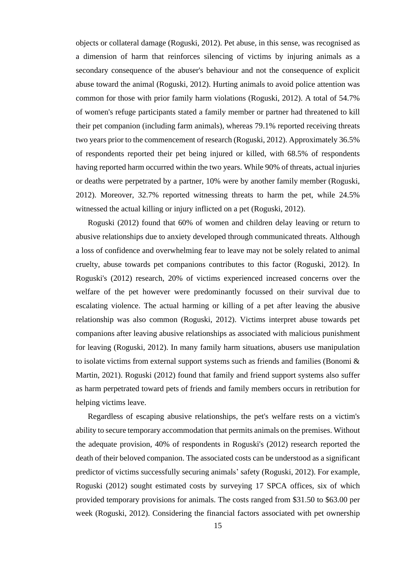objects or collateral damage (Roguski, 2012). Pet abuse, in this sense, was recognised as a dimension of harm that reinforces silencing of victims by injuring animals as a secondary consequence of the abuser's behaviour and not the consequence of explicit abuse toward the animal (Roguski, 2012). Hurting animals to avoid police attention was common for those with prior family harm violations (Roguski, 2012). A total of 54.7% of women's refuge participants stated a family member or partner had threatened to kill their pet companion (including farm animals), whereas 79.1% reported receiving threats two years prior to the commencement of research (Roguski, 2012). Approximately 36.5% of respondents reported their pet being injured or killed, with 68.5% of respondents having reported harm occurred within the two years. While 90% of threats, actual injuries or deaths were perpetrated by a partner, 10% were by another family member (Roguski, 2012). Moreover, 32.7% reported witnessing threats to harm the pet, while 24.5% witnessed the actual killing or injury inflicted on a pet (Roguski, 2012).

Roguski (2012) found that 60% of women and children delay leaving or return to abusive relationships due to anxiety developed through communicated threats. Although a loss of confidence and overwhelming fear to leave may not be solely related to animal cruelty, abuse towards pet companions contributes to this factor (Roguski, 2012). In Roguski's (2012) research, 20% of victims experienced increased concerns over the welfare of the pet however were predominantly focussed on their survival due to escalating violence. The actual harming or killing of a pet after leaving the abusive relationship was also common (Roguski, 2012). Victims interpret abuse towards pet companions after leaving abusive relationships as associated with malicious punishment for leaving (Roguski, 2012). In many family harm situations, abusers use manipulation to isolate victims from external support systems such as friends and families (Bonomi & Martin, 2021). Roguski (2012) found that family and friend support systems also suffer as harm perpetrated toward pets of friends and family members occurs in retribution for helping victims leave.

Regardless of escaping abusive relationships, the pet's welfare rests on a victim's ability to secure temporary accommodation that permits animals on the premises. Without the adequate provision, 40% of respondents in Roguski's (2012) research reported the death of their beloved companion. The associated costs can be understood as a significant predictor of victims successfully securing animals' safety (Roguski, 2012). For example, Roguski (2012) sought estimated costs by surveying 17 SPCA offices, six of which provided temporary provisions for animals. The costs ranged from \$31.50 to \$63.00 per week (Roguski, 2012). Considering the financial factors associated with pet ownership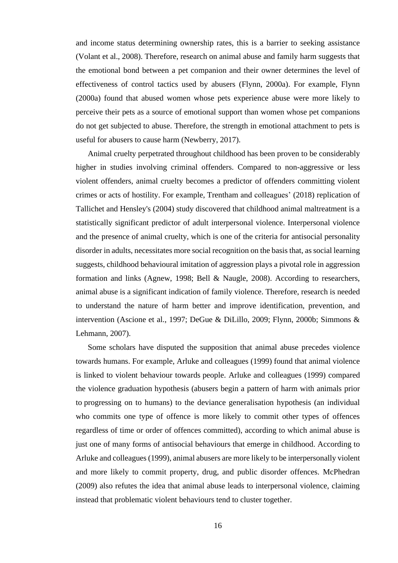and income status determining ownership rates, this is a barrier to seeking assistance (Volant et al., 2008). Therefore, research on animal abuse and family harm suggests that the emotional bond between a pet companion and their owner determines the level of effectiveness of control tactics used by abusers (Flynn, 2000a). For example, Flynn (2000a) found that abused women whose pets experience abuse were more likely to perceive their pets as a source of emotional support than women whose pet companions do not get subjected to abuse. Therefore, the strength in emotional attachment to pets is useful for abusers to cause harm (Newberry, 2017).

Animal cruelty perpetrated throughout childhood has been proven to be considerably higher in studies involving criminal offenders. Compared to non-aggressive or less violent offenders, animal cruelty becomes a predictor of offenders committing violent crimes or acts of hostility. For example, Trentham and colleagues' (2018) replication of Tallichet and Hensley's (2004) study discovered that childhood animal maltreatment is a statistically significant predictor of adult interpersonal violence. Interpersonal violence and the presence of animal cruelty, which is one of the criteria for antisocial personality disorder in adults, necessitates more social recognition on the basis that, as social learning suggests, childhood behavioural imitation of aggression plays a pivotal role in aggression formation and links (Agnew, 1998; Bell & Naugle, 2008). According to researchers, animal abuse is a significant indication of family violence. Therefore, research is needed to understand the nature of harm better and improve identification, prevention, and intervention (Ascione et al., 1997; DeGue & DiLillo, 2009; Flynn, 2000b; Simmons & Lehmann, 2007).

Some scholars have disputed the supposition that animal abuse precedes violence towards humans. For example, Arluke and colleagues (1999) found that animal violence is linked to violent behaviour towards people. Arluke and colleagues (1999) compared the violence graduation hypothesis (abusers begin a pattern of harm with animals prior to progressing on to humans) to the deviance generalisation hypothesis (an individual who commits one type of offence is more likely to commit other types of offences regardless of time or order of offences committed), according to which animal abuse is just one of many forms of antisocial behaviours that emerge in childhood. According to Arluke and colleagues (1999), animal abusers are more likely to be interpersonally violent and more likely to commit property, drug, and public disorder offences. McPhedran (2009) also refutes the idea that animal abuse leads to interpersonal violence, claiming instead that problematic violent behaviours tend to cluster together.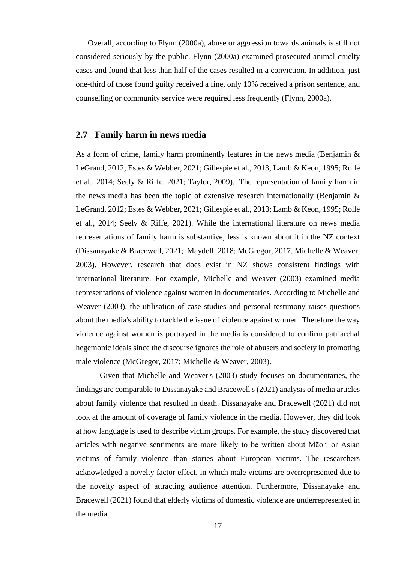Overall, according to Flynn (2000a), abuse or aggression towards animals is still not considered seriously by the public. Flynn (2000a) examined prosecuted animal cruelty cases and found that less than half of the cases resulted in a conviction. In addition, just one-third of those found guilty received a fine, only 10% received a prison sentence, and counselling or community service were required less frequently (Flynn, 2000a).

### <span id="page-17-0"></span>**2.7 Family harm in news media**

As a form of crime, family harm prominently features in the news media (Benjamin & LeGrand, 2012; Estes & Webber, 2021; Gillespie et al., 2013; Lamb & Keon, 1995; Rolle et al., 2014; Seely & Riffe, 2021; Taylor, 2009). The representation of family harm in the news media has been the topic of extensive research internationally (Benjamin & LeGrand, 2012; Estes & Webber, 2021; Gillespie et al., 2013; Lamb & Keon, 1995; Rolle et al., 2014; Seely & Riffe, 2021). While the international literature on news media representations of family harm is substantive, less is known about it in the NZ context (Dissanayake & Bracewell, 2021; Maydell, 2018; McGregor, 2017, Michelle & Weaver, 2003). However, research that does exist in NZ shows consistent findings with international literature. For example, Michelle and Weaver (2003) examined media representations of violence against women in documentaries. According to Michelle and Weaver (2003), the utilisation of case studies and personal testimony raises questions about the media's ability to tackle the issue of violence against women. Therefore the way violence against women is portrayed in the media is considered to confirm patriarchal hegemonic ideals since the discourse ignores the role of abusers and society in promoting male violence (McGregor, 2017; Michelle & Weaver, 2003).

Given that Michelle and Weaver's (2003) study focuses on documentaries, the findings are comparable to Dissanayake and Bracewell's (2021) analysis of media articles about family violence that resulted in death. Dissanayake and Bracewell (2021) did not look at the amount of coverage of family violence in the media. However, they did look at how language is used to describe victim groups. For example, the study discovered that articles with negative sentiments are more likely to be written about Māori or Asian victims of family violence than stories about European victims. The researchers acknowledged a novelty factor effect, in which male victims are overrepresented due to the novelty aspect of attracting audience attention. Furthermore, Dissanayake and Bracewell (2021) found that elderly victims of domestic violence are underrepresented in the media.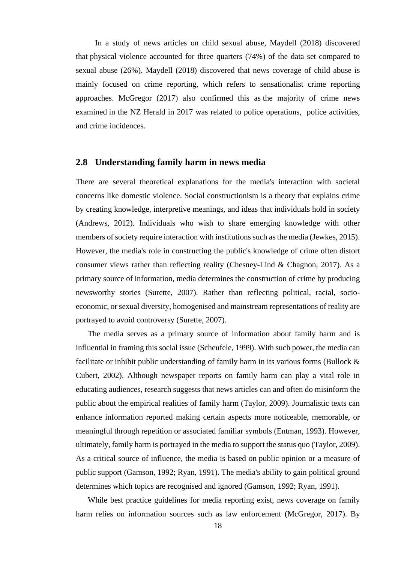In a study of news articles on child sexual abuse, Maydell (2018) discovered that physical violence accounted for three quarters (74%) of the data set compared to sexual abuse (26%). Maydell (2018) discovered that news coverage of child abuse is mainly focused on crime reporting, which refers to sensationalist crime reporting approaches. McGregor (2017) also confirmed this as the majority of crime news examined in the NZ Herald in 2017 was related to police operations, police activities, and crime incidences.

### <span id="page-18-0"></span>**2.8 Understanding family harm in news media**

There are several theoretical explanations for the media's interaction with societal concerns like domestic violence. Social constructionism is a theory that explains crime by creating knowledge, interpretive meanings, and ideas that individuals hold in society (Andrews, 2012). Individuals who wish to share emerging knowledge with other members of society require interaction with institutions such as the media (Jewkes, 2015). However, the media's role in constructing the public's knowledge of crime often distort consumer views rather than reflecting reality (Chesney-Lind & Chagnon, 2017). As a primary source of information, media determines the construction of crime by producing newsworthy stories (Surette, 2007). Rather than reflecting political, racial, socioeconomic, or sexual diversity, homogenised and mainstream representations of reality are portrayed to avoid controversy (Surette, 2007).

The media serves as a primary source of information about family harm and is influential in framing this social issue (Scheufele, 1999). With such power, the media can facilitate or inhibit public understanding of family harm in its various forms (Bullock & Cubert, 2002). Although newspaper reports on family harm can play a vital role in educating audiences, research suggests that news articles can and often do misinform the public about the empirical realities of family harm (Taylor, 2009). Journalistic texts can enhance information reported making certain aspects more noticeable, memorable, or meaningful through repetition or associated familiar symbols (Entman, 1993). However, ultimately, family harm is portrayed in the media to support the status quo (Taylor, 2009). As a critical source of influence, the media is based on public opinion or a measure of public support (Gamson, 1992; Ryan, 1991). The media's ability to gain political ground determines which topics are recognised and ignored (Gamson, 1992; Ryan, 1991).

While best practice guidelines for media reporting exist, news coverage on family harm relies on information sources such as law enforcement (McGregor, 2017). By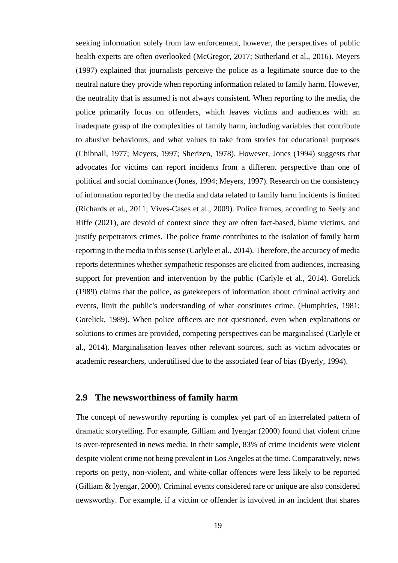seeking information solely from law enforcement, however, the perspectives of public health experts are often overlooked (McGregor, 2017; Sutherland et al., 2016). Meyers (1997) explained that journalists perceive the police as a legitimate source due to the neutral nature they provide when reporting information related to family harm. However, the neutrality that is assumed is not always consistent. When reporting to the media, the police primarily focus on offenders, which leaves victims and audiences with an inadequate grasp of the complexities of family harm, including variables that contribute to abusive behaviours, and what values to take from stories for educational purposes (Chibnall, 1977; Meyers, 1997; Sherizen, 1978). However, Jones (1994) suggests that advocates for victims can report incidents from a different perspective than one of political and social dominance (Jones, 1994; Meyers, 1997). Research on the consistency of information reported by the media and data related to family harm incidents is limited (Richards et al., 2011; Vives-Cases et al., 2009). Police frames, according to Seely and Riffe (2021), are devoid of context since they are often fact-based, blame victims, and justify perpetrators crimes. The police frame contributes to the isolation of family harm reporting in the media in this sense (Carlyle et al., 2014). Therefore, the accuracy of media reports determines whether sympathetic responses are elicited from audiences, increasing support for prevention and intervention by the public (Carlyle et al., 2014). Gorelick (1989) claims that the police, as gatekeepers of information about criminal activity and events, limit the public's understanding of what constitutes crime. (Humphries, 1981; Gorelick, 1989). When police officers are not questioned, even when explanations or solutions to crimes are provided, competing perspectives can be marginalised (Carlyle et al., 2014). Marginalisation leaves other relevant sources, such as victim advocates or academic researchers, underutilised due to the associated fear of bias (Byerly, 1994).

### <span id="page-19-0"></span>**2.9 The newsworthiness of family harm**

The concept of newsworthy reporting is complex yet part of an interrelated pattern of dramatic storytelling. For example, Gilliam and Iyengar (2000) found that violent crime is over-represented in news media. In their sample, 83% of crime incidents were violent despite violent crime not being prevalent in Los Angeles at the time. Comparatively, news reports on petty, non-violent, and white-collar offences were less likely to be reported (Gilliam & Iyengar, 2000). Criminal events considered rare or unique are also considered newsworthy. For example, if a victim or offender is involved in an incident that shares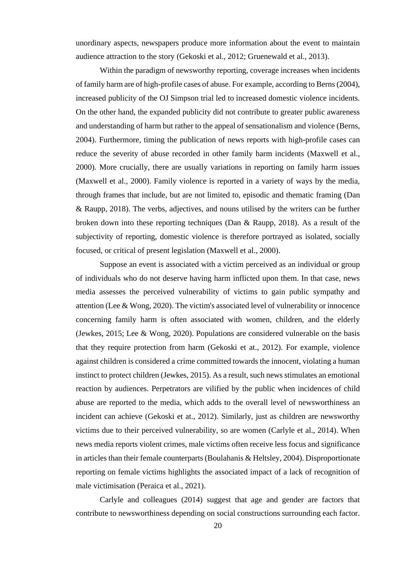unordinary aspects, newspapers produce more information about the event to maintain audience attraction to the story (Gekoski et al., 2012; Gruenewald et al., 2013).

Within the paradigm of newsworthy reporting, coverage increases when incidents of family harm are of high-profile cases of abuse. For example, according to Berns (2004), increased publicity of the OJ Simpson trial led to increased domestic violence incidents. On the other hand, the expanded publicity did not contribute to greater public awareness and understanding of harm but rather to the appeal of sensationalism and violence (Berns, 2004). Furthermore, timing the publication of news reports with high-profile cases can reduce the severity of abuse recorded in other family harm incidents (Maxwell et al., 2000). More crucially, there are usually variations in reporting on family harm issues (Maxwell et al., 2000). Family violence is reported in a variety of ways by the media, through frames that include, but are not limited to, episodic and thematic framing (Dan & Raupp, 2018). The verbs, adjectives, and nouns utilised by the writers can be further broken down into these reporting techniques (Dan & Raupp, 2018). As a result of the subjectivity of reporting, domestic violence is therefore portrayed as isolated, socially focused, or critical of present legislation (Maxwell et al., 2000).

Suppose an event is associated with a victim perceived as an individual or group of individuals who do not deserve having harm inflicted upon them. In that case, news media assesses the perceived vulnerability of victims to gain public sympathy and attention (Lee & Wong, 2020). The victim's associated level of vulnerability or innocence concerning family harm is often associated with women, children, and the elderly (Jewkes, 2015; Lee & Wong, 2020). Populations are considered vulnerable on the basis that they require protection from harm (Gekoski et at., 2012). For example, violence against children is considered a crime committed towards the innocent, violating a human instinct to protect children (Jewkes, 2015). As a result, such news stimulates an emotional reaction by audiences. Perpetrators are vilified by the public when incidences of child abuse are reported to the media, which adds to the overall level of newsworthiness an incident can achieve (Gekoski et at., 2012). Similarly, just as children are newsworthy victims due to their perceived vulnerability, so are women (Carlyle et al., 2014). When news media reports violent crimes, male victims often receive less focus and significance in articles than their female counterparts (Boulahanis & Heltsley, 2004). Disproportionate reporting on female victims highlights the associated impact of a lack of recognition of male victimisation (Peraica et al., 2021).

Carlyle and colleagues (2014) suggest that age and gender are factors that contribute to newsworthiness depending on social constructions surrounding each factor.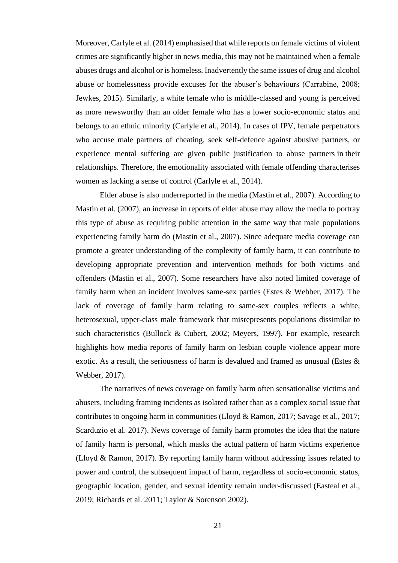Moreover, Carlyle et al. (2014) emphasised that while reports on female victims of violent crimes are significantly higher in news media, this may not be maintained when a female abuses drugs and alcohol or is homeless. Inadvertently the same issues of drug and alcohol abuse or homelessness provide excuses for the abuser's behaviours (Carrabine, 2008; Jewkes, 2015). Similarly, a white female who is middle-classed and young is perceived as more newsworthy than an older female who has a lower socio-economic status and belongs to an ethnic minority (Carlyle et al., 2014). In cases of IPV, female perpetrators who accuse male partners of cheating, seek self-defence against abusive partners, or experience mental suffering are given public justification to abuse partners in their relationships. Therefore, the emotionality associated with female offending characterises women as lacking a sense of control (Carlyle et al., 2014).

Elder abuse is also underreported in the media (Mastin et al., 2007). According to Mastin et al. (2007), an increase in reports of elder abuse may allow the media to portray this type of abuse as requiring public attention in the same way that male populations experiencing family harm do (Mastin et al., 2007). Since adequate media coverage can promote a greater understanding of the complexity of family harm, it can contribute to developing appropriate prevention and intervention methods for both victims and offenders (Mastin et al., 2007). Some researchers have also noted limited coverage of family harm when an incident involves same-sex parties (Estes & Webber, 2017). The lack of coverage of family harm relating to same-sex couples reflects a white, heterosexual, upper-class male framework that misrepresents populations dissimilar to such characteristics (Bullock & Cubert, 2002; Meyers, 1997). For example, research highlights how media reports of family harm on lesbian couple violence appear more exotic. As a result, the seriousness of harm is devalued and framed as unusual (Estes & Webber, 2017).

The narratives of news coverage on family harm often sensationalise victims and abusers, including framing incidents as isolated rather than as a complex social issue that contributes to ongoing harm in communities (Lloyd & Ramon, 2017; Savage et al., 2017; Scarduzio et al. 2017). News coverage of family harm promotes the idea that the nature of family harm is personal, which masks the actual pattern of harm victims experience (Lloyd & Ramon, 2017). By reporting family harm without addressing issues related to power and control, the subsequent impact of harm, regardless of socio-economic status, geographic location, gender, and sexual identity remain under-discussed (Easteal et al., 2019; Richards et al. 2011; Taylor & Sorenson 2002).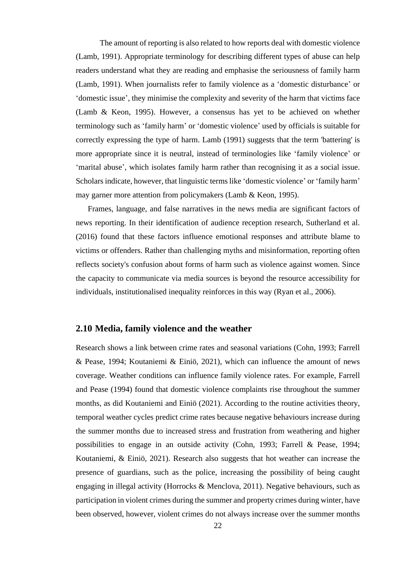The amount of reporting is also related to how reports deal with domestic violence (Lamb, 1991). Appropriate terminology for describing different types of abuse can help readers understand what they are reading and emphasise the seriousness of family harm (Lamb, 1991). When journalists refer to family violence as a 'domestic disturbance' or 'domestic issue', they minimise the complexity and severity of the harm that victims face (Lamb & Keon, 1995). However, a consensus has yet to be achieved on whether terminology such as 'family harm' or 'domestic violence' used by officials is suitable for correctly expressing the type of harm. Lamb (1991) suggests that the term 'battering' is more appropriate since it is neutral, instead of terminologies like 'family violence' or 'marital abuse', which isolates family harm rather than recognising it as a social issue. Scholars indicate, however, that linguistic terms like 'domestic violence' or 'family harm' may garner more attention from policymakers (Lamb & Keon, 1995).

Frames, language, and false narratives in the news media are significant factors of news reporting. In their identification of audience reception research, Sutherland et al. (2016) found that these factors influence emotional responses and attribute blame to victims or offenders. Rather than challenging myths and misinformation, reporting often reflects society's confusion about forms of harm such as violence against women. Since the capacity to communicate via media sources is beyond the resource accessibility for individuals, institutionalised inequality reinforces in this way (Ryan et al., 2006).

### <span id="page-22-0"></span>**2.10 Media, family violence and the weather**

Research shows a link between crime rates and seasonal variations (Cohn, 1993; Farrell & Pease, 1994; Koutaniemi & Einiö, 2021), which can influence the amount of news coverage. Weather conditions can influence family violence rates. For example, Farrell and Pease (1994) found that domestic violence complaints rise throughout the summer months, as did Koutaniemi and Einiö (2021). According to the routine activities theory, temporal weather cycles predict crime rates because negative behaviours increase during the summer months due to increased stress and frustration from weathering and higher possibilities to engage in an outside activity (Cohn, 1993; Farrell & Pease, 1994; Koutaniemi, & Einiö, 2021). Research also suggests that hot weather can increase the presence of guardians, such as the police, increasing the possibility of being caught engaging in illegal activity (Horrocks & Menclova, 2011). Negative behaviours, such as participation in violent crimes during the summer and property crimes during winter, have been observed, however, violent crimes do not always increase over the summer months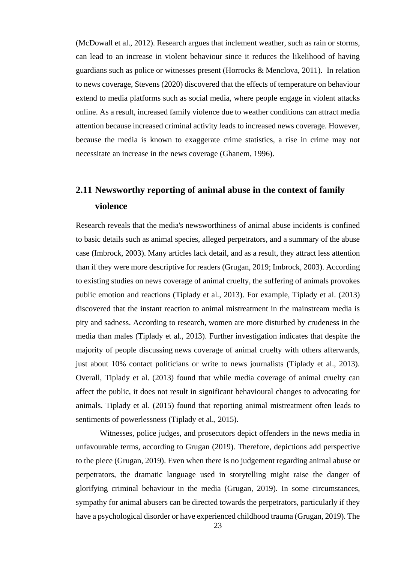(McDowall et al., 2012). Research argues that inclement weather, such as rain or storms, can lead to an increase in violent behaviour since it reduces the likelihood of having guardians such as police or witnesses present (Horrocks & Menclova, 2011). In relation to news coverage, Stevens (2020) discovered that the effects of temperature on behaviour extend to media platforms such as social media, where people engage in violent attacks online. As a result, increased family violence due to weather conditions can attract media attention because increased criminal activity leads to increased news coverage. However, because the media is known to exaggerate crime statistics, a rise in crime may not necessitate an increase in the news coverage (Ghanem, 1996).

### <span id="page-23-0"></span>**2.11 Newsworthy reporting of animal abuse in the context of family violence**

Research reveals that the media's newsworthiness of animal abuse incidents is confined to basic details such as animal species, alleged perpetrators, and a summary of the abuse case (Imbrock, 2003). Many articles lack detail, and as a result, they attract less attention than if they were more descriptive for readers (Grugan, 2019; Imbrock, 2003). According to existing studies on news coverage of animal cruelty, the suffering of animals provokes public emotion and reactions (Tiplady et al., 2013). For example, Tiplady et al. (2013) discovered that the instant reaction to animal mistreatment in the mainstream media is pity and sadness. According to research, women are more disturbed by crudeness in the media than males (Tiplady et al., 2013). Further investigation indicates that despite the majority of people discussing news coverage of animal cruelty with others afterwards, just about 10% contact politicians or write to news journalists (Tiplady et al., 2013). Overall, Tiplady et al. (2013) found that while media coverage of animal cruelty can affect the public, it does not result in significant behavioural changes to advocating for animals. Tiplady et al. (2015) found that reporting animal mistreatment often leads to sentiments of powerlessness (Tiplady et al., 2015).

Witnesses, police judges, and prosecutors depict offenders in the news media in unfavourable terms, according to Grugan (2019). Therefore, depictions add perspective to the piece (Grugan, 2019). Even when there is no judgement regarding animal abuse or perpetrators, the dramatic language used in storytelling might raise the danger of glorifying criminal behaviour in the media (Grugan, 2019). In some circumstances, sympathy for animal abusers can be directed towards the perpetrators, particularly if they have a psychological disorder or have experienced childhood trauma (Grugan, 2019). The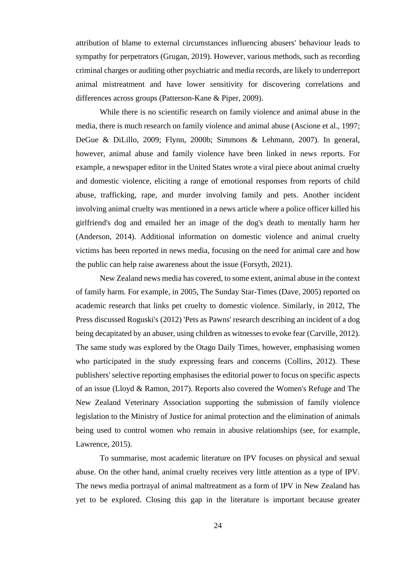attribution of blame to external circumstances influencing abusers' behaviour leads to sympathy for perpetrators (Grugan, 2019). However, various methods, such as recording criminal charges or auditing other psychiatric and media records, are likely to underreport animal mistreatment and have lower sensitivity for discovering correlations and differences across groups (Patterson-Kane & Piper, 2009).

While there is no scientific research on family violence and animal abuse in the media, there is much research on family violence and animal abuse (Ascione et al., 1997; DeGue & DiLillo, 2009; Flynn, 2000b; Simmons & Lehmann, 2007). In general, however, animal abuse and family violence have been linked in news reports. For example, a newspaper editor in the United States wrote a viral piece about animal cruelty and domestic violence, eliciting a range of emotional responses from reports of child abuse, trafficking, rape, and murder involving family and pets. Another incident involving animal cruelty was mentioned in a news article where a police officer killed his girlfriend's dog and emailed her an image of the dog's death to mentally harm her (Anderson, 2014). Additional information on domestic violence and animal cruelty victims has been reported in news media, focusing on the need for animal care and how the public can help raise awareness about the issue (Forsyth, 2021).

New Zealand news media has covered, to some extent, animal abuse in the context of family harm. For example, in 2005, The Sunday Star-Times (Dave, 2005) reported on academic research that links pet cruelty to domestic violence. Similarly, in 2012, The Press discussed Roguski's (2012) 'Pets as Pawns' research describing an incident of a dog being decapitated by an abuser, using children as witnesses to evoke fear (Carville, 2012). The same study was explored by the Otago Daily Times, however, emphasising women who participated in the study expressing fears and concerns (Collins, 2012). These publishers' selective reporting emphasises the editorial power to focus on specific aspects of an issue (Lloyd & Ramon, 2017). Reports also covered the Women's Refuge and The New Zealand Veterinary Association supporting the submission of family violence legislation to the Ministry of Justice for animal protection and the elimination of animals being used to control women who remain in abusive relationships (see, for example, Lawrence, 2015).

To summarise, most academic literature on IPV focuses on physical and sexual abuse. On the other hand, animal cruelty receives very little attention as a type of IPV. The news media portrayal of animal maltreatment as a form of IPV in New Zealand has yet to be explored. Closing this gap in the literature is important because greater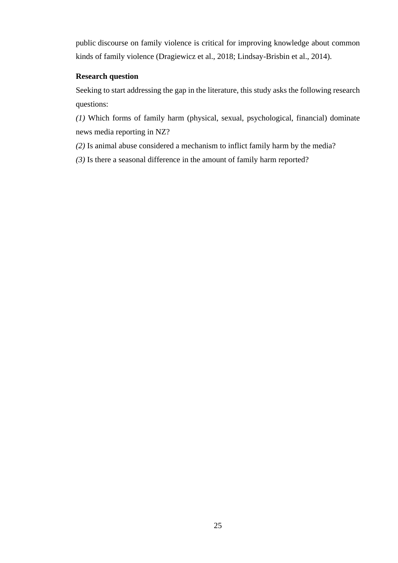public discourse on family violence is critical for improving knowledge about common kinds of family violence (Dragiewicz et al., 2018; Lindsay-Brisbin et al., 2014).

### **Research question**

Seeking to start addressing the gap in the literature, this study asks the following research questions:

*(1)* Which forms of family harm (physical, sexual, psychological, financial) dominate news media reporting in NZ?

*(2)* Is animal abuse considered a mechanism to inflict family harm by the media?

*(3)* Is there a seasonal difference in the amount of family harm reported?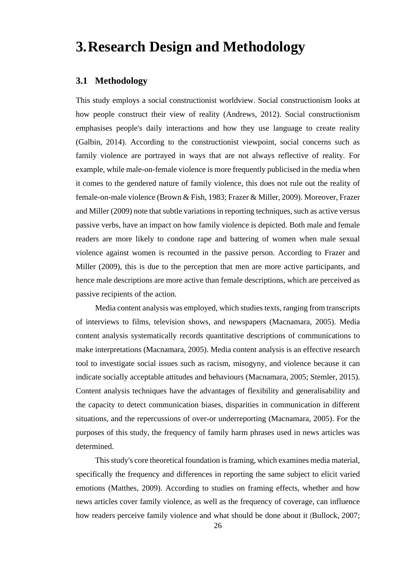## <span id="page-26-0"></span>**3.Research Design and Methodology**

### <span id="page-26-1"></span>**3.1 Methodology**

This study employs a social constructionist worldview. Social constructionism looks at how people construct their view of reality (Andrews, 2012). Social constructionism emphasises people's daily interactions and how they use language to create reality (Galbin, 2014). According to the constructionist viewpoint, social concerns such as family violence are portrayed in ways that are not always reflective of reality. For example, while male-on-female violence is more frequently publicised in the media when it comes to the gendered nature of family violence, this does not rule out the reality of female-on-male violence (Brown & Fish, 1983; Frazer & Miller, 2009). Moreover, Frazer and Miller (2009) note that subtle variations in reporting techniques, such as active versus passive verbs, have an impact on how family violence is depicted. Both male and female readers are more likely to condone rape and battering of women when male sexual violence against women is recounted in the passive person. According to Frazer and Miller (2009), this is due to the perception that men are more active participants, and hence male descriptions are more active than female descriptions, which are perceived as passive recipients of the action.

Media content analysis was employed, which studies texts, ranging from transcripts of interviews to films, television shows, and newspapers (Macnamara, 2005). Media content analysis systematically records quantitative descriptions of communications to make interpretations (Macnamara, 2005). Media content analysis is an effective research tool to investigate social issues such as racism, misogyny, and violence because it can indicate socially acceptable attitudes and behaviours (Macnamara, 2005; Stemler, 2015). Content analysis techniques have the advantages of flexibility and generalisability and the capacity to detect communication biases, disparities in communication in different situations, and the repercussions of over-or underreporting (Macnamara, 2005). For the purposes of this study, the frequency of family harm phrases used in news articles was determined.

This study's core theoretical foundation is framing, which examines media material, specifically the frequency and differences in reporting the same subject to elicit varied emotions (Matthes, 2009). According to studies on framing effects, whether and how news articles cover family violence, as well as the frequency of coverage, can influence how readers perceive family violence and what should be done about it (Bullock, 2007;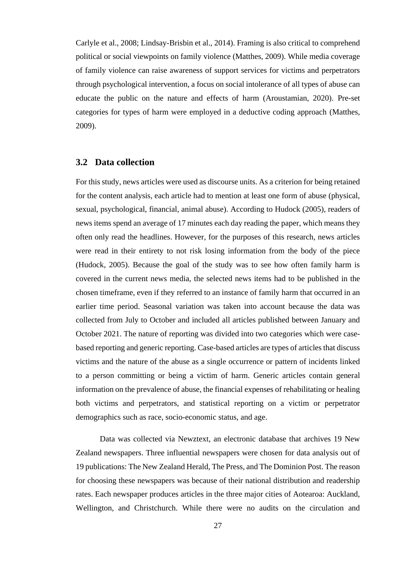Carlyle et al., 2008; Lindsay-Brisbin et al., 2014). Framing is also critical to comprehend political or social viewpoints on family violence (Matthes, 2009). While media coverage of family violence can raise awareness of support services for victims and perpetrators through psychological intervention, a focus on social intolerance of all types of abuse can educate the public on the nature and effects of harm (Aroustamian, 2020). Pre-set categories for types of harm were employed in a deductive coding approach (Matthes, 2009).

### <span id="page-27-0"></span>**3.2 Data collection**

For this study, news articles were used as discourse units. As a criterion for being retained for the content analysis, each article had to mention at least one form of abuse (physical, sexual, psychological, financial, animal abuse). According to Hudock (2005), readers of news items spend an average of 17 minutes each day reading the paper, which means they often only read the headlines. However, for the purposes of this research, news articles were read in their entirety to not risk losing information from the body of the piece (Hudock, 2005). Because the goal of the study was to see how often family harm is covered in the current news media, the selected news items had to be published in the chosen timeframe, even if they referred to an instance of family harm that occurred in an earlier time period. Seasonal variation was taken into account because the data was collected from July to October and included all articles published between January and October 2021. The nature of reporting was divided into two categories which were casebased reporting and generic reporting. Case-based articles are types of articles that discuss victims and the nature of the abuse as a single occurrence or pattern of incidents linked to a person committing or being a victim of harm. Generic articles contain general information on the prevalence of abuse, the financial expenses of rehabilitating or healing both victims and perpetrators, and statistical reporting on a victim or perpetrator demographics such as race, socio-economic status, and age.

Data was collected via Newztext, an electronic database that archives 19 New Zealand newspapers. Three influential newspapers were chosen for data analysis out of 19 publications: The New Zealand Herald, The Press, and The Dominion Post. The reason for choosing these newspapers was because of their national distribution and readership rates. Each newspaper produces articles in the three major cities of Aotearoa: Auckland, Wellington, and Christchurch. While there were no audits on the circulation and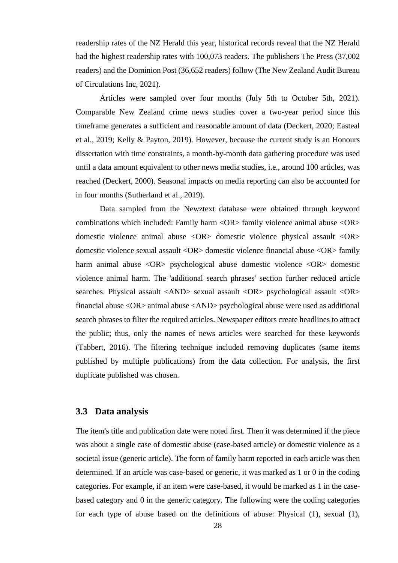readership rates of the NZ Herald this year, historical records reveal that the NZ Herald had the highest readership rates with 100,073 readers. The publishers The Press (37,002 readers) and the Dominion Post (36,652 readers) follow (The New Zealand Audit Bureau of Circulations Inc, 2021).

Articles were sampled over four months (July 5th to October 5th, 2021). Comparable New Zealand crime news studies cover a two-year period since this timeframe generates a sufficient and reasonable amount of data (Deckert, 2020; Easteal et al., 2019; Kelly & Payton, 2019). However, because the current study is an Honours dissertation with time constraints, a month-by-month data gathering procedure was used until a data amount equivalent to other news media studies, i.e., around 100 articles, was reached (Deckert, 2000). Seasonal impacts on media reporting can also be accounted for in four months (Sutherland et al., 2019).

Data sampled from the Newztext database were obtained through keyword combinations which included: Family harm <OR> family violence animal abuse <OR> domestic violence animal abuse <OR> domestic violence physical assault <OR> domestic violence sexual assault <OR> domestic violence financial abuse <OR> family harm animal abuse <OR> psychological abuse domestic violence <OR> domestic violence animal harm. The 'additional search phrases' section further reduced article searches. Physical assault <AND> sexual assault <OR> psychological assault <OR> financial abuse <OR> animal abuse <AND> psychological abuse were used as additional search phrases to filter the required articles. Newspaper editors create headlines to attract the public; thus, only the names of news articles were searched for these keywords (Tabbert, 2016). The filtering technique included removing duplicates (same items published by multiple publications) from the data collection. For analysis, the first duplicate published was chosen.

### <span id="page-28-0"></span>**3.3 Data analysis**

The item's title and publication date were noted first. Then it was determined if the piece was about a single case of domestic abuse (case-based article) or domestic violence as a societal issue (generic article). The form of family harm reported in each article was then determined. If an article was case-based or generic, it was marked as 1 or 0 in the coding categories. For example, if an item were case-based, it would be marked as 1 in the casebased category and 0 in the generic category. The following were the coding categories for each type of abuse based on the definitions of abuse: Physical (1), sexual (1),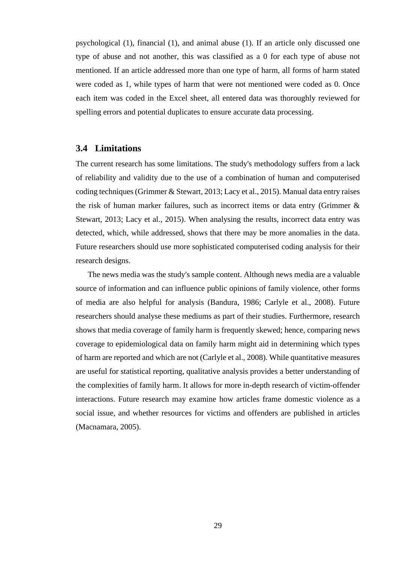psychological (1), financial (1), and animal abuse (1). If an article only discussed one type of abuse and not another, this was classified as a 0 for each type of abuse not mentioned. If an article addressed more than one type of harm, all forms of harm stated were coded as 1, while types of harm that were not mentioned were coded as 0. Once each item was coded in the Excel sheet, all entered data was thoroughly reviewed for spelling errors and potential duplicates to ensure accurate data processing.

#### <span id="page-29-0"></span>**3.4 Limitations**

The current research has some limitations. The study's methodology suffers from a lack of reliability and validity due to the use of a combination of human and computerised coding techniques (Grimmer & Stewart, 2013; Lacy et al., 2015). Manual data entry raises the risk of human marker failures, such as incorrect items or data entry (Grimmer & Stewart, 2013; Lacy et al., 2015). When analysing the results, incorrect data entry was detected, which, while addressed, shows that there may be more anomalies in the data. Future researchers should use more sophisticated computerised coding analysis for their research designs.

The news media was the study's sample content. Although news media are a valuable source of information and can influence public opinions of family violence, other forms of media are also helpful for analysis (Bandura, 1986; Carlyle et al., 2008). Future researchers should analyse these mediums as part of their studies. Furthermore, research shows that media coverage of family harm is frequently skewed; hence, comparing news coverage to epidemiological data on family harm might aid in determining which types of harm are reported and which are not (Carlyle et al., 2008). While quantitative measures are useful for statistical reporting, qualitative analysis provides a better understanding of the complexities of family harm. It allows for more in-depth research of victim-offender interactions. Future research may examine how articles frame domestic violence as a social issue, and whether resources for victims and offenders are published in articles (Macnamara, 2005).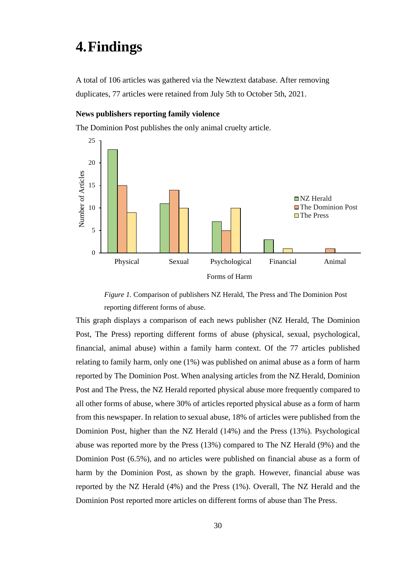### <span id="page-30-0"></span>**4.Findings**

A total of 106 articles was gathered via the Newztext database. After removing duplicates, 77 articles were retained from July 5th to October 5th, 2021.

#### **News publishers reporting family violence**

The Dominion Post publishes the only animal cruelty article.



*Figure 1.* Comparison of publishers NZ Herald, The Press and The Dominion Post reporting different forms of abuse.

<span id="page-30-1"></span>This graph displays a comparison of each news publisher (NZ Herald, The Dominion Post, The Press) reporting different forms of abuse (physical, sexual, psychological, financial, animal abuse) within a family harm context. Of the 77 articles published relating to family harm, only one (1%) was published on animal abuse as a form of harm reported by The Dominion Post. When analysing articles from the NZ Herald, Dominion Post and The Press, the NZ Herald reported physical abuse more frequently compared to all other forms of abuse, where 30% of articles reported physical abuse as a form of harm from this newspaper. In relation to sexual abuse, 18% of articles were published from the Dominion Post, higher than the NZ Herald (14%) and the Press (13%). Psychological abuse was reported more by the Press (13%) compared to The NZ Herald (9%) and the Dominion Post (6.5%), and no articles were published on financial abuse as a form of harm by the Dominion Post, as shown by the graph. However, financial abuse was reported by the NZ Herald (4%) and the Press (1%). Overall, The NZ Herald and the Dominion Post reported more articles on different forms of abuse than The Press.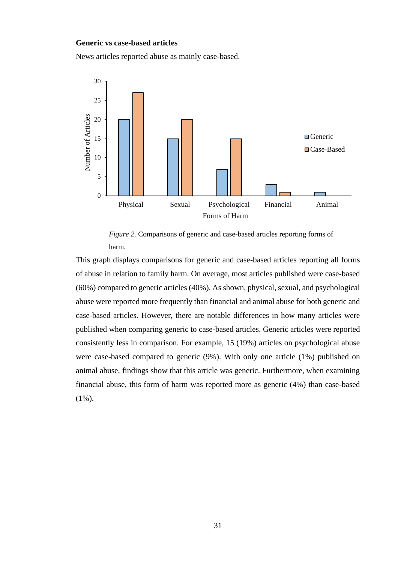#### **Generic vs case-based articles**

News articles reported abuse as mainly case-based.



*Figure 2.* Comparisons of generic and case-based articles reporting forms of harm*.*

<span id="page-31-0"></span>This graph displays comparisons for generic and case-based articles reporting all forms of abuse in relation to family harm. On average, most articles published were case-based (60%) compared to generic articles (40%). As shown, physical, sexual, and psychological abuse were reported more frequently than financial and animal abuse for both generic and case-based articles. However, there are notable differences in how many articles were published when comparing generic to case-based articles. Generic articles were reported consistently less in comparison. For example, 15 (19%) articles on psychological abuse were case-based compared to generic (9%). With only one article (1%) published on animal abuse, findings show that this article was generic. Furthermore, when examining financial abuse, this form of harm was reported more as generic (4%) than case-based (1%).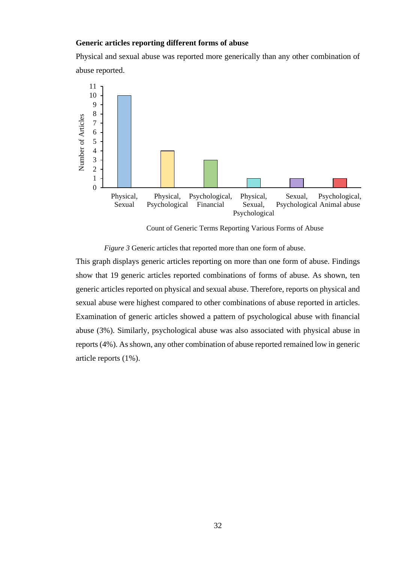#### **Generic articles reporting different forms of abuse**

Physical and sexual abuse was reported more generically than any other combination of abuse reported.



Count of Generic Terms Reporting Various Forms of Abuse

*Figure 3* Generic articles that reported more than one form of abuse.

<span id="page-32-0"></span>This graph displays generic articles reporting on more than one form of abuse. Findings show that 19 generic articles reported combinations of forms of abuse. As shown, ten generic articles reported on physical and sexual abuse. Therefore, reports on physical and sexual abuse were highest compared to other combinations of abuse reported in articles. Examination of generic articles showed a pattern of psychological abuse with financial abuse (3%). Similarly, psychological abuse was also associated with physical abuse in reports (4%). As shown, any other combination of abuse reported remained low in generic article reports (1%).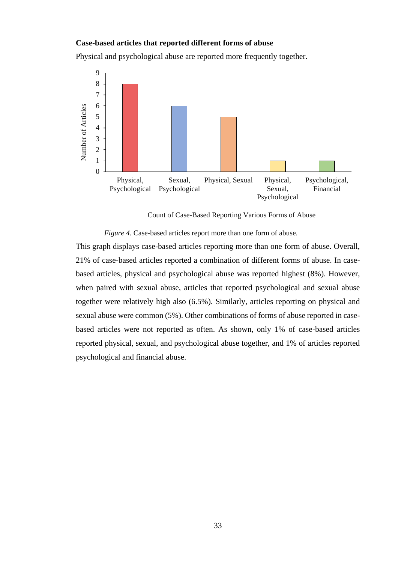#### **Case-based articles that reported different forms of abuse**

Physical and psychological abuse are reported more frequently together.



Count of Case-Based Reporting Various Forms of Abuse

*Figure 4.* Case-based articles report more than one form of abuse.

<span id="page-33-0"></span>This graph displays case-based articles reporting more than one form of abuse. Overall, 21% of case-based articles reported a combination of different forms of abuse. In casebased articles, physical and psychological abuse was reported highest (8%). However, when paired with sexual abuse, articles that reported psychological and sexual abuse together were relatively high also (6.5%). Similarly, articles reporting on physical and sexual abuse were common (5%). Other combinations of forms of abuse reported in casebased articles were not reported as often. As shown, only 1% of case-based articles reported physical, sexual, and psychological abuse together, and 1% of articles reported psychological and financial abuse.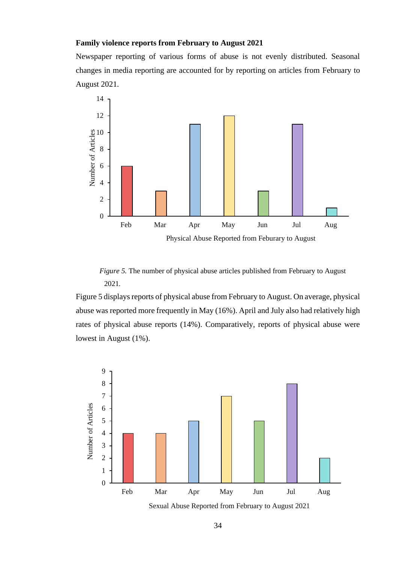### **Family violence reports from February to August 2021**

Newspaper reporting of various forms of abuse is not evenly distributed. Seasonal changes in media reporting are accounted for by reporting on articles from February to August 2021.



<span id="page-34-0"></span>*Figure 5.* The number of physical abuse articles published from February to August 2021*.*

Figure 5 displays reports of physical abuse from February to August. On average, physical abuse was reported more frequently in May (16%). April and July also had relatively high rates of physical abuse reports (14%). Comparatively, reports of physical abuse were lowest in August (1%).



Sexual Abuse Reported from February to August 2021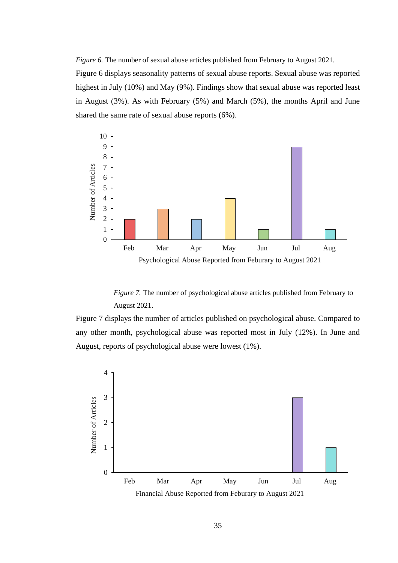<span id="page-35-0"></span>*Figure 6.* The number of sexual abuse articles published from February to August 2021.

Figure 6 displays seasonality patterns of sexual abuse reports. Sexual abuse was reported highest in July (10%) and May (9%). Findings show that sexual abuse was reported least in August (3%). As with February (5%) and March (5%), the months April and June shared the same rate of sexual abuse reports (6%).



*Figure 7.* The number of psychological abuse articles published from February to August 2021.

<span id="page-35-1"></span>Figure 7 displays the number of articles published on psychological abuse. Compared to any other month, psychological abuse was reported most in July (12%). In June and August, reports of psychological abuse were lowest (1%).

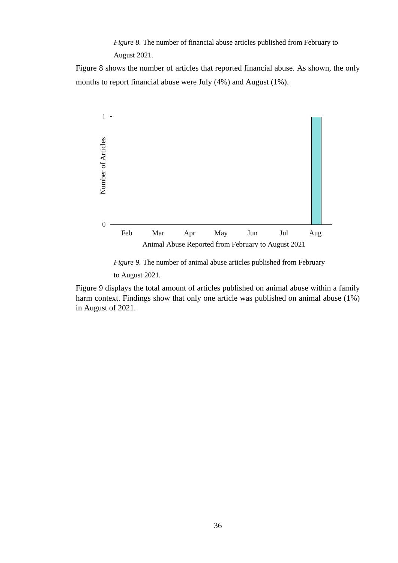*Figure 8.* The number of financial abuse articles published from February to August 2021*.*

<span id="page-36-0"></span>Figure 8 shows the number of articles that reported financial abuse. As shown, the only months to report financial abuse were July (4%) and August (1%).



*Figure 9.* The number of animal abuse articles published from February to August 2021*.*

<span id="page-36-1"></span>Figure 9 displays the total amount of articles published on animal abuse within a family harm context. Findings show that only one article was published on animal abuse (1%) in August of 2021.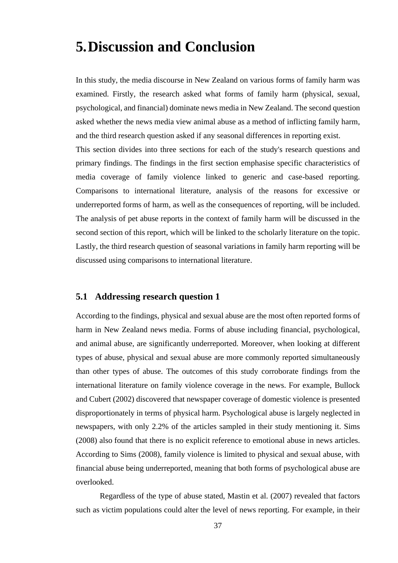## <span id="page-37-0"></span>**5.Discussion and Conclusion**

In this study, the media discourse in New Zealand on various forms of family harm was examined. Firstly, the research asked what forms of family harm (physical, sexual, psychological, and financial) dominate news media in New Zealand. The second question asked whether the news media view animal abuse as a method of inflicting family harm, and the third research question asked if any seasonal differences in reporting exist. This section divides into three sections for each of the study's research questions and primary findings. The findings in the first section emphasise specific characteristics of media coverage of family violence linked to generic and case-based reporting. Comparisons to international literature, analysis of the reasons for excessive or underreported forms of harm, as well as the consequences of reporting, will be included. The analysis of pet abuse reports in the context of family harm will be discussed in the second section of this report, which will be linked to the scholarly literature on the topic. Lastly, the third research question of seasonal variations in family harm reporting will be discussed using comparisons to international literature.

### <span id="page-37-1"></span>**5.1 Addressing research question 1**

According to the findings, physical and sexual abuse are the most often reported forms of harm in New Zealand news media. Forms of abuse including financial, psychological, and animal abuse, are significantly underreported. Moreover, when looking at different types of abuse, physical and sexual abuse are more commonly reported simultaneously than other types of abuse. The outcomes of this study corroborate findings from the international literature on family violence coverage in the news. For example, Bullock and Cubert (2002) discovered that newspaper coverage of domestic violence is presented disproportionately in terms of physical harm. Psychological abuse is largely neglected in newspapers, with only 2.2% of the articles sampled in their study mentioning it. Sims (2008) also found that there is no explicit reference to emotional abuse in news articles. According to Sims (2008), family violence is limited to physical and sexual abuse, with financial abuse being underreported, meaning that both forms of psychological abuse are overlooked.

Regardless of the type of abuse stated, Mastin et al. (2007) revealed that factors such as victim populations could alter the level of news reporting. For example, in their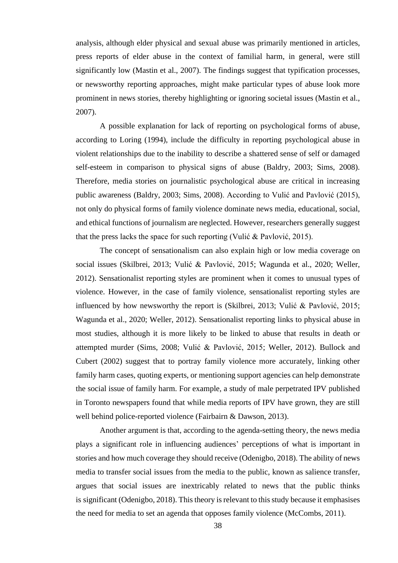analysis, although elder physical and sexual abuse was primarily mentioned in articles, press reports of elder abuse in the context of familial harm, in general, were still significantly low (Mastin et al., 2007). The findings suggest that typification processes, or newsworthy reporting approaches, might make particular types of abuse look more prominent in news stories, thereby highlighting or ignoring societal issues (Mastin et al., 2007).

A possible explanation for lack of reporting on psychological forms of abuse, according to Loring (1994), include the difficulty in reporting psychological abuse in violent relationships due to the inability to describe a shattered sense of self or damaged self-esteem in comparison to physical signs of abuse (Baldry, 2003; Sims, 2008). Therefore, media stories on journalistic psychological abuse are critical in increasing public awareness (Baldry, 2003; Sims, 2008). According to Vulić and Pavlović (2015), not only do physical forms of family violence dominate news media, educational, social, and ethical functions of journalism are neglected. However, researchers generally suggest that the press lacks the space for such reporting (Vulić & Pavlović, 2015).

The concept of sensationalism can also explain high or low media coverage on social issues (Skilbrei, 2013; Vulić & Pavlović, 2015; Wagunda et al., 2020; Weller, 2012). Sensationalist reporting styles are prominent when it comes to unusual types of violence. However, in the case of family violence, sensationalist reporting styles are influenced by how newsworthy the report is (Skilbrei, 2013; Vulić & Pavlović, 2015; Wagunda et al., 2020; Weller, 2012). Sensationalist reporting links to physical abuse in most studies, although it is more likely to be linked to abuse that results in death or attempted murder (Sims, 2008; Vulić & Pavlović, 2015; Weller, 2012). Bullock and Cubert (2002) suggest that to portray family violence more accurately, linking other family harm cases, quoting experts, or mentioning support agencies can help demonstrate the social issue of family harm. For example, a study of male perpetrated IPV published in Toronto newspapers found that while media reports of IPV have grown, they are still well behind police-reported violence (Fairbairn & Dawson, 2013).

Another argument is that, according to the agenda-setting theory, the news media plays a significant role in influencing audiences' perceptions of what is important in stories and how much coverage they should receive (Odenigbo, 2018). The ability of news media to transfer social issues from the media to the public, known as salience transfer, argues that social issues are inextricably related to news that the public thinks is significant (Odenigbo, 2018). This theory is relevant to this study because it emphasises the need for media to set an agenda that opposes family violence (McCombs, 2011).

38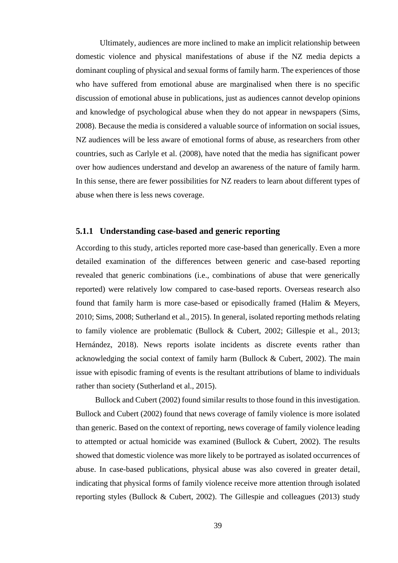Ultimately, audiences are more inclined to make an implicit relationship between domestic violence and physical manifestations of abuse if the NZ media depicts a dominant coupling of physical and sexual forms of family harm. The experiences of those who have suffered from emotional abuse are marginalised when there is no specific discussion of emotional abuse in publications, just as audiences cannot develop opinions and knowledge of psychological abuse when they do not appear in newspapers (Sims, 2008). Because the media is considered a valuable source of information on social issues, NZ audiences will be less aware of emotional forms of abuse, as researchers from other countries, such as Carlyle et al. (2008), have noted that the media has significant power over how audiences understand and develop an awareness of the nature of family harm. In this sense, there are fewer possibilities for NZ readers to learn about different types of abuse when there is less news coverage.

### <span id="page-39-0"></span>**5.1.1 Understanding case-based and generic reporting**

According to this study, articles reported more case-based than generically. Even a more detailed examination of the differences between generic and case-based reporting revealed that generic combinations (i.e., combinations of abuse that were generically reported) were relatively low compared to case-based reports. Overseas research also found that family harm is more case-based or episodically framed (Halim & Meyers, 2010; Sims, 2008; Sutherland et al., 2015). In general, isolated reporting methods relating to family violence are problematic (Bullock & Cubert, 2002; Gillespie et al., 2013; Hernández, 2018). News reports isolate incidents as discrete events rather than acknowledging the social context of family harm (Bullock & Cubert, 2002). The main issue with episodic framing of events is the resultant attributions of blame to individuals rather than society (Sutherland et al., 2015).

Bullock and Cubert (2002) found similar results to those found in this investigation. Bullock and Cubert (2002) found that news coverage of family violence is more isolated than generic. Based on the context of reporting, news coverage of family violence leading to attempted or actual homicide was examined (Bullock & Cubert, 2002). The results showed that domestic violence was more likely to be portrayed as isolated occurrences of abuse. In case-based publications, physical abuse was also covered in greater detail, indicating that physical forms of family violence receive more attention through isolated reporting styles (Bullock & Cubert, 2002). The Gillespie and colleagues (2013) study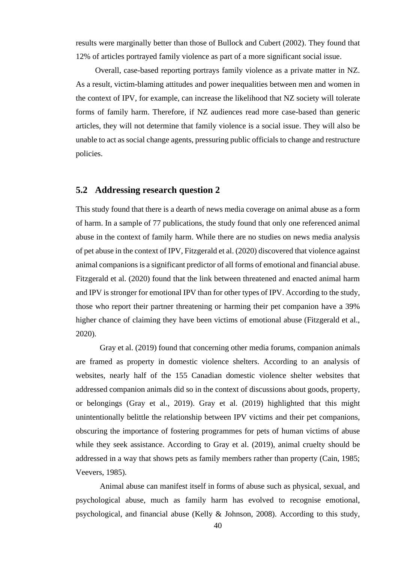results were marginally better than those of Bullock and Cubert (2002). They found that 12% of articles portrayed family violence as part of a more significant social issue.

Overall, case-based reporting portrays family violence as a private matter in NZ. As a result, victim-blaming attitudes and power inequalities between men and women in the context of IPV, for example, can increase the likelihood that NZ society will tolerate forms of family harm. Therefore, if NZ audiences read more case-based than generic articles, they will not determine that family violence is a social issue. They will also be unable to act as social change agents, pressuring public officials to change and restructure policies.

### <span id="page-40-0"></span>**5.2 Addressing research question 2**

This study found that there is a dearth of news media coverage on animal abuse as a form of harm. In a sample of 77 publications, the study found that only one referenced animal abuse in the context of family harm. While there are no studies on news media analysis of pet abuse in the context of IPV, Fitzgerald et al. (2020) discovered that violence against animal companions is a significant predictor of all forms of emotional and financial abuse. Fitzgerald et al. (2020) found that the link between threatened and enacted animal harm and IPV is stronger for emotional IPV than for other types of IPV. According to the study, those who report their partner threatening or harming their pet companion have a 39% higher chance of claiming they have been victims of emotional abuse (Fitzgerald et al., 2020).

Gray et al. (2019) found that concerning other media forums, companion animals are framed as property in domestic violence shelters. According to an analysis of websites, nearly half of the 155 Canadian domestic violence shelter websites that addressed companion animals did so in the context of discussions about goods, property, or belongings (Gray et al., 2019). Gray et al. (2019) highlighted that this might unintentionally belittle the relationship between IPV victims and their pet companions, obscuring the importance of fostering programmes for pets of human victims of abuse while they seek assistance. According to Gray et al. (2019), animal cruelty should be addressed in a way that shows pets as family members rather than property (Cain, 1985; Veevers, 1985).

Animal abuse can manifest itself in forms of abuse such as physical, sexual, and psychological abuse, much as family harm has evolved to recognise emotional, psychological, and financial abuse (Kelly & Johnson, 2008). According to this study,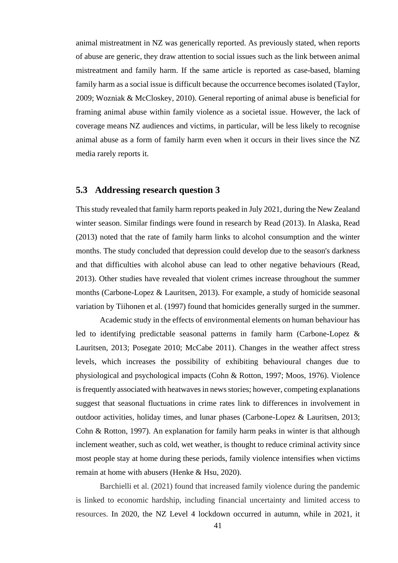animal mistreatment in NZ was generically reported. As previously stated, when reports of abuse are generic, they draw attention to social issues such as the link between animal mistreatment and family harm. If the same article is reported as case-based, blaming family harm as a social issue is difficult because the occurrence becomes isolated (Taylor, 2009; Wozniak & McCloskey, 2010). General reporting of animal abuse is beneficial for framing animal abuse within family violence as a societal issue. However, the lack of coverage means NZ audiences and victims, in particular, will be less likely to recognise animal abuse as a form of family harm even when it occurs in their lives since the NZ media rarely reports it.

### <span id="page-41-0"></span>**5.3 Addressing research question 3**

This study revealed that family harm reports peaked in July 2021, during the New Zealand winter season. Similar findings were found in research by Read (2013). In Alaska, Read (2013) noted that the rate of family harm links to alcohol consumption and the winter months. The study concluded that depression could develop due to the season's darkness and that difficulties with alcohol abuse can lead to other negative behaviours (Read, 2013). Other studies have revealed that violent crimes increase throughout the summer months (Carbone-Lopez & Lauritsen, 2013). For example, a study of homicide seasonal variation by Tiihonen et al. (1997) found that homicides generally surged in the summer.

Academic study in the effects of environmental elements on human behaviour has led to identifying predictable seasonal patterns in family harm (Carbone-Lopez & Lauritsen, 2013; Posegate 2010; McCabe 2011). Changes in the weather affect stress levels, which increases the possibility of exhibiting behavioural changes due to physiological and psychological impacts (Cohn & Rotton, 1997; Moos, 1976). Violence is frequently associated with heatwaves in news stories; however, competing explanations suggest that seasonal fluctuations in crime rates link to differences in involvement in outdoor activities, holiday times, and lunar phases (Carbone-Lopez & Lauritsen, 2013; Cohn & Rotton, 1997). An explanation for family harm peaks in winter is that although inclement weather, such as cold, wet weather, is thought to reduce criminal activity since most people stay at home during these periods, family violence intensifies when victims remain at home with abusers (Henke & Hsu, 2020).

Barchielli et al. (2021) found that increased family violence during the pandemic is linked to economic hardship, including financial uncertainty and limited access to resources. In 2020, the NZ Level 4 lockdown occurred in autumn, while in 2021, it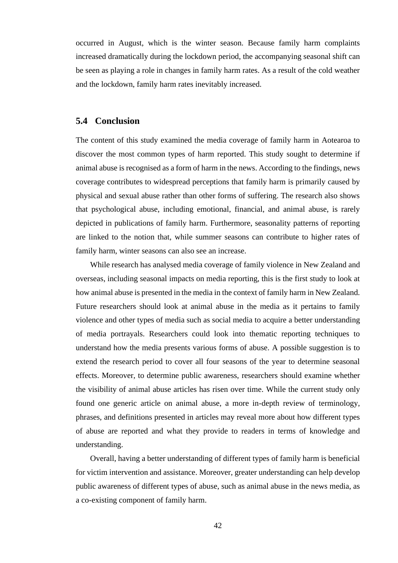occurred in August, which is the winter season. Because family harm complaints increased dramatically during the lockdown period, the accompanying seasonal shift can be seen as playing a role in changes in family harm rates. As a result of the cold weather and the lockdown, family harm rates inevitably increased.

### <span id="page-42-0"></span>**5.4 Conclusion**

The content of this study examined the media coverage of family harm in Aotearoa to discover the most common types of harm reported. This study sought to determine if animal abuse is recognised as a form of harm in the news. According to the findings, news coverage contributes to widespread perceptions that family harm is primarily caused by physical and sexual abuse rather than other forms of suffering. The research also shows that psychological abuse, including emotional, financial, and animal abuse, is rarely depicted in publications of family harm. Furthermore, seasonality patterns of reporting are linked to the notion that, while summer seasons can contribute to higher rates of family harm, winter seasons can also see an increase.

While research has analysed media coverage of family violence in New Zealand and overseas, including seasonal impacts on media reporting, this is the first study to look at how animal abuse is presented in the media in the context of family harm in New Zealand. Future researchers should look at animal abuse in the media as it pertains to family violence and other types of media such as social media to acquire a better understanding of media portrayals. Researchers could look into thematic reporting techniques to understand how the media presents various forms of abuse. A possible suggestion is to extend the research period to cover all four seasons of the year to determine seasonal effects. Moreover, to determine public awareness, researchers should examine whether the visibility of animal abuse articles has risen over time. While the current study only found one generic article on animal abuse, a more in-depth review of terminology, phrases, and definitions presented in articles may reveal more about how different types of abuse are reported and what they provide to readers in terms of knowledge and understanding.

Overall, having a better understanding of different types of family harm is beneficial for victim intervention and assistance. Moreover, greater understanding can help develop public awareness of different types of abuse, such as animal abuse in the news media, as a co-existing component of family harm.

42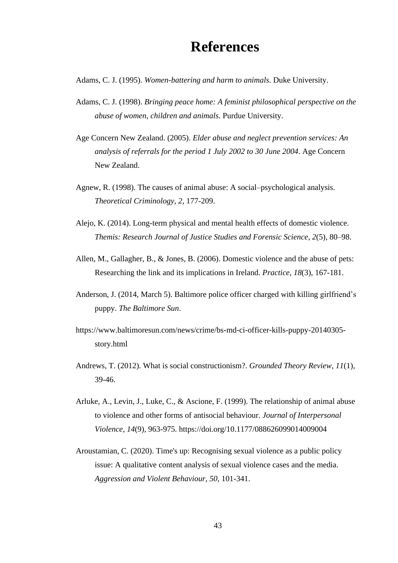### **References**

- <span id="page-43-0"></span>Adams, C. J. (1995). *Women-battering and harm to animals*. Duke University.
- Adams, C. J. (1998). *Bringing peace home: A feminist philosophical perspective on the abuse of women, children and animals*. Purdue University.
- Age Concern New Zealand. (2005). *Elder abuse and neglect prevention services: An analysis of referrals for the period 1 July 2002 to 30 June 2004*. Age Concern New Zealand.
- Agnew, R. (1998). The causes of animal abuse: A social–psychological analysis. *Theoretical Criminology*, *2*, 177-209.
- Alejo, K. (2014). Long-term physical and mental health effects of domestic violence. *Themis: Research Journal of Justice Studies and Forensic Science*, *2*(5), 80–98.
- Allen, M., Gallagher, B., & Jones, B. (2006). Domestic violence and the abuse of pets: Researching the link and its implications in Ireland. *Practice*, *18*(3), 167-181.
- Anderson, J. (2014, March 5). Baltimore police officer charged with killing girlfriend's puppy. *The Baltimore Sun*.
- https://www.baltimoresun.com/news/crime/bs-md-ci-officer-kills-puppy-20140305 story.html
- Andrews, T. (2012). What is social constructionism?. *Grounded Theory Review*, *11*(1), 39-46.
- Arluke, A., Levin, J., Luke, C., & Ascione, F. (1999). The relationship of animal abuse to violence and other forms of antisocial behaviour. *Journal of Interpersonal Violence*, *14*(9), 963-975. https://doi.org/10.1177/088626099014009004
- Aroustamian, C. (2020). Time's up: Recognising sexual violence as a public policy issue: A qualitative content analysis of sexual violence cases and the media. *Aggression and Violent Behaviour*, *50*, 101-341.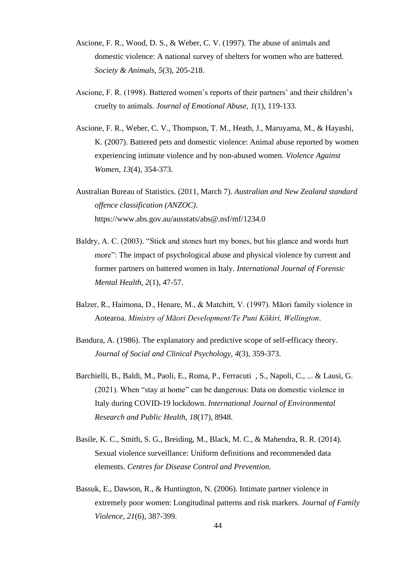- Ascione, F. R., Wood, D. S., & Weber, C. V. (1997). The abuse of animals and domestic violence: A national survey of shelters for women who are battered. *Society & Animals*, *5*(3), 205-218.
- Ascione, F. R. (1998). Battered women's reports of their partners' and their children's cruelty to animals. *Journal of Emotional Abuse*, *1*(1), 119-133.
- Ascione, F. R., Weber, C. V., Thompson, T. M., Heath, J., Maruyama, M., & Hayashi, K. (2007). Battered pets and domestic violence: Animal abuse reported by women experiencing intimate violence and by non-abused women. *Violence Against Women*, *13*(4), 354-373.
- Australian Bureau of Statistics. (2011, March 7). *Australian and New Zealand standard offence classification (ANZOC)*. https://www.abs.gov.au/ausstats/abs@.nsf/mf/1234.0
- Baldry, A. C. (2003). "Stick and stones hurt my bones, but his glance and words hurt more": The impact of psychological abuse and physical violence by current and former partners on battered women in Italy. *International Journal of Forensic Mental Health*, *2*(1), 47-57.
- Balzer, R., Haimona, D., Henare, M., & Matchitt, V. (1997). Māori family violence in Aotearoa. *Ministry of Māori Development/Te Puni Kōkiri, Wellington*.
- Bandura, A. (1986). The explanatory and predictive scope of self-efficacy theory. *Journal of Social and Clinical Psychology*, *4*(3), 359-373.
- Barchielli, B., Baldi, M., Paoli, E., Roma, P., Ferracuti , S., Napoli, C., ... & Lausi, G. (2021). When "stay at home" can be dangerous: Data on domestic violence in Italy during COVID-19 lockdown. *International Journal of Environmental Research and Public Health*, *18*(17), 8948.
- Basile, K. C., Smith, S. G., Breiding, M., Black, M. C., & Mahendra, R. R. (2014). Sexual violence surveillance: Uniform definitions and recommended data elements. *Centres for Disease Control and Prevention*.
- Bassuk, E., Dawson, R., & Huntington, N. (2006). Intimate partner violence in extremely poor women: Longitudinal patterns and risk markers*. Journal of Family Violence*, *21*(6), 387-399.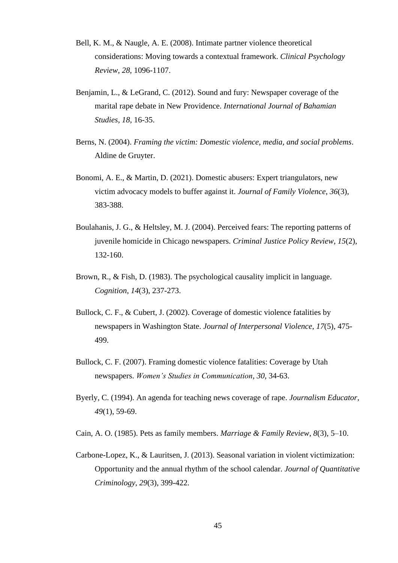- Bell, K. M., & Naugle, A. E. (2008). Intimate partner violence theoretical considerations: Moving towards a contextual framework. *Clinical Psychology Review*, *28*, 1096-1107.
- Benjamin, L., & LeGrand, C. (2012). Sound and fury: Newspaper coverage of the marital rape debate in New Providence. *International Journal of Bahamian Studies*, *18*, 16-35.
- Berns, N. (2004). *Framing the victim: Domestic violence, media, and social problems*. Aldine de Gruyter.
- Bonomi, A. E., & Martin, D. (2021). Domestic abusers: Expert triangulators, new victim advocacy models to buffer against it. *Journal of Family Violence*, *36*(3), 383-388.
- Boulahanis, J. G., & Heltsley, M. J. (2004). Perceived fears: The reporting patterns of juvenile homicide in Chicago newspapers. *Criminal Justice Policy Review*, *15*(2), 132-160.
- Brown, R., & Fish, D. (1983). The psychological causality implicit in language. *Cognition*, *14*(3), 237-273.
- Bullock, C. F., & Cubert, J. (2002). Coverage of domestic violence fatalities by newspapers in Washington State. *Journal of Interpersonal Violence*, *17*(5), 475- 499.
- Bullock, C. F. (2007). Framing domestic violence fatalities: Coverage by Utah newspapers. *Women's Studies in Communication*, *30*, 34-63.
- Byerly, C. (1994). An agenda for teaching news coverage of rape. *Journalism Educator*, *49*(1), 59-69.
- Cain, A. O. (1985). Pets as family members. *Marriage & Family Review*, *8*(3), 5–10.
- Carbone-Lopez, K., & Lauritsen, J. (2013). Seasonal variation in violent victimization: Opportunity and the annual rhythm of the school calendar. *Journal of Quantitative Criminology*, *29*(3), 399-422.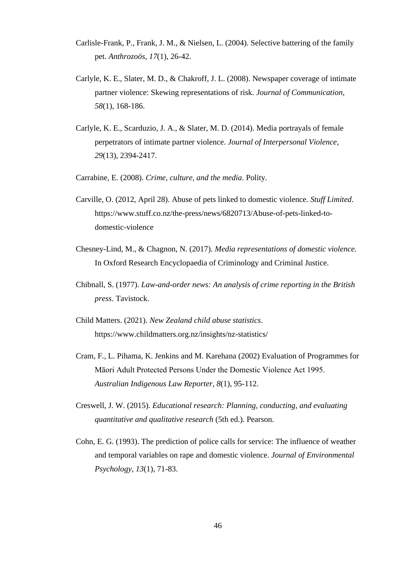- Carlisle-Frank, P., Frank, J. M., & Nielsen, L. (2004). Selective battering of the family pet. *Anthrozoös*, *17*(1), 26-42.
- Carlyle, K. E., Slater, M. D., & Chakroff, J. L. (2008). Newspaper coverage of intimate partner violence: Skewing representations of risk. *Journal of Communication*, *58*(1), 168-186.
- Carlyle, K. E., Scarduzio, J. A., & Slater, M. D. (2014). Media portrayals of female perpetrators of intimate partner violence. *Journal of Interpersonal Violence*, *29*(13), 2394-2417.
- Carrabine, E. (2008). *Crime, culture, and the media*. Polity.
- Carville, O. (2012, April 28). Abuse of pets linked to domestic violence. *Stuff Limited*. https://www.stuff.co.nz/the-press/news/6820713/Abuse-of-pets-linked-todomestic-violence
- Chesney-Lind, M., & Chagnon, N. (2017). *Media representations of domestic violence.*  In Oxford Research Encyclopaedia of Criminology and Criminal Justice.
- Chibnall, S. (1977). *Law-and-order news: An analysis of crime reporting in the British press*. Tavistock.
- Child Matters. (2021). *New Zealand child abuse statistics*. https://www.childmatters.org.nz/insights/nz-statistics/
- Cram, F., L. Pihama, K. Jenkins and M. Karehana (2002) Evaluation of Programmes for Māori Adult Protected Persons Under the Domestic Violence Act 1995. *Australian Indigenous Law Reporter*, *8*(1), 95-112.
- Creswell, J. W. (2015). *Educational research: Planning, conducting, and evaluating quantitative and qualitative research* (5th ed.). Pearson.
- Cohn, E. G. (1993). The prediction of police calls for service: The influence of weather and temporal variables on rape and domestic violence. *Journal of Environmental Psychology*, *13*(1), 71-83.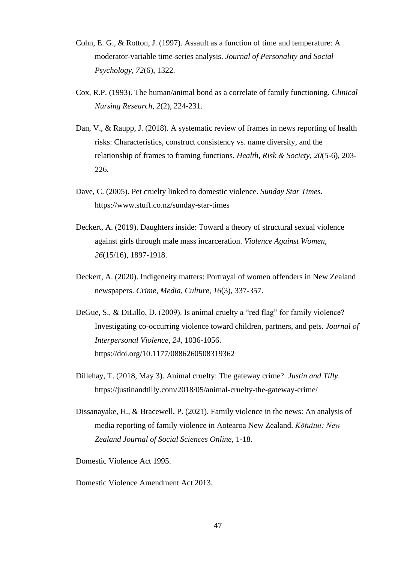- Cohn, E. G., & Rotton, J. (1997). Assault as a function of time and temperature: A moderator-variable time-series analysis. *Journal of Personality and Social Psychology*, *72*(6), 1322.
- Cox, R.P. (1993). The human/animal bond as a correlate of family functioning. *Clinical Nursing Research*, *2*(2), 224-231.
- Dan, V., & Raupp, J. (2018). A systematic review of frames in news reporting of health risks: Characteristics, construct consistency vs. name diversity, and the relationship of frames to framing functions. *Health, Risk & Society*, *20*(5-6), 203- 226.
- Dave, C. (2005). Pet cruelty linked to domestic violence. *Sunday Star Times*. https://www.stuff.co.nz/sunday-star-times
- Deckert, A. (2019). Daughters inside: Toward a theory of structural sexual violence against girls through male mass incarceration. *Violence Against Women*, *26*(15/16), 1897-1918.
- Deckert, A. (2020). Indigeneity matters: Portrayal of women offenders in New Zealand newspapers. *Crime, Media, Culture*, *16*(3), 337-357.
- DeGue, S., & DiLillo, D. (2009). Is animal cruelty a "red flag" for family violence? Investigating co-occurring violence toward children, partners, and pets. *Journal of Interpersonal Violence*, *24*, 1036-1056. https://doi.org/10.1177/0886260508319362
- Dillehay, T. (2018, May 3). Animal cruelty: The gateway crime?. *Justin and Tilly*. https://justinandtilly.com/2018/05/animal-cruelty-the-gateway-crime/
- Dissanayake, H., & Bracewell, P. (2021). Family violence in the news: An analysis of media reporting of family violence in Aotearoa New Zealand. *Kōtuitui: New Zealand Journal of Social Sciences Online*, 1-18.

Domestic Violence Act 1995.

Domestic Violence Amendment Act 2013.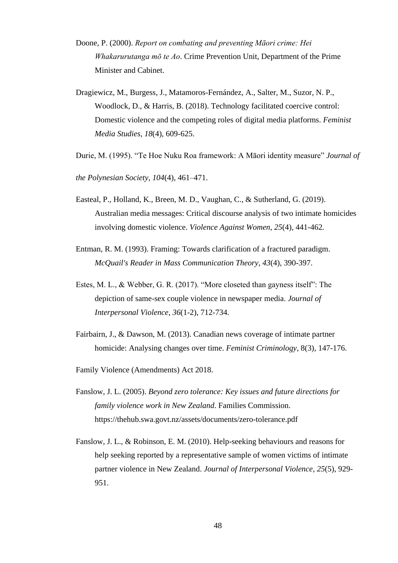- Doone, P. (2000). *Report on combating and preventing Māori crime: Hei Whakarurutanga mō te Ao*. Crime Prevention Unit, Department of the Prime Minister and Cabinet.
- Dragiewicz, M., Burgess, J., Matamoros-Fernández, A., Salter, M., Suzor, N. P., Woodlock, D., & Harris, B. (2018). Technology facilitated coercive control: Domestic violence and the competing roles of digital media platforms. *Feminist Media Studies*, *18*(4), 609-625.
- Durie, M. (1995). "Te Hoe Nuku Roa framework: A Māori identity measure" *Journal of*
- *the Polynesian Society*, *104*(4), 461–471.
- Easteal, P., Holland, K., Breen, M. D., Vaughan, C., & Sutherland, G. (2019). Australian media messages: Critical discourse analysis of two intimate homicides involving domestic violence. *Violence Against Women*, *25*(4), 441-462.
- Entman, R. M. (1993). Framing: Towards clarification of a fractured paradigm. *McQuail's Reader in Mass Communication Theory*, *43*(4), 390-397.
- Estes, M. L., & Webber, G. R. (2017). "More closeted than gayness itself": The depiction of same-sex couple violence in newspaper media. *Journal of Interpersonal Violence*, *36*(1-2), 712-734.
- Fairbairn, J., & Dawson, M. (2013). Canadian news coverage of intimate partner homicide: Analysing changes over time. *Feminist Criminology*, 8(3), 147-176.
- Family Violence (Amendments) Act 2018.
- Fanslow, J. L. (2005). *Beyond zero tolerance: Key issues and future directions for family violence work in New Zealand*. Families Commission. https://thehub.swa.govt.nz/assets/documents/zero-tolerance.pdf
- Fanslow, J. L., & Robinson, E. M. (2010). Help-seeking behaviours and reasons for help seeking reported by a representative sample of women victims of intimate partner violence in New Zealand. *Journal of Interpersonal Violence*, *25*(5), 929- 951.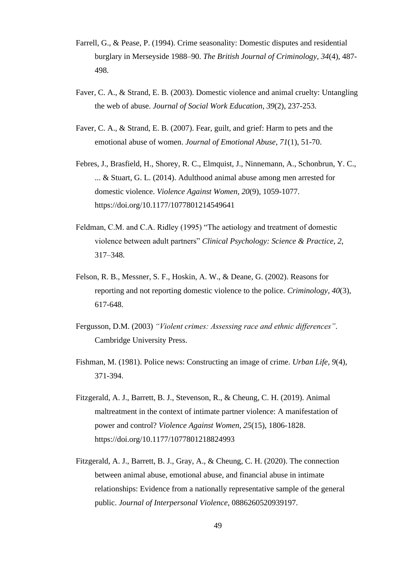- Farrell, G., & Pease, P. (1994). Crime seasonality: Domestic disputes and residential burglary in Merseyside 1988–90. *The British Journal of Criminology*, *34*(4), 487- 498.
- Faver, C. A., & Strand, E. B. (2003). Domestic violence and animal cruelty: Untangling the web of abuse. *Journal of Social Work Education*, *39*(2), 237-253.
- Faver, C. A., & Strand, E. B. (2007). Fear, guilt, and grief: Harm to pets and the emotional abuse of women. *Journal of Emotional Abuse*, *71*(1), 51-70.
- Febres, J., Brasfield, H., Shorey, R. C., Elmquist, J., Ninnemann, A., Schonbrun, Y. C., ... & Stuart, G. L. (2014). Adulthood animal abuse among men arrested for domestic violence. *Violence Against Women*, *20*(9), 1059-1077. https://doi.org/10.1177/1077801214549641
- Feldman, C.M. and C.A. Ridley (1995) "The aetiology and treatment of domestic violence between adult partners" *Clinical Psychology: Science & Practice*, *2*, 317–348.
- Felson, R. B., Messner, S. F., Hoskin, A. W., & Deane, G. (2002). Reasons for reporting and not reporting domestic violence to the police. *Criminology*, *40*(3), 617-648.
- Fergusson, D.M. (2003) *"Violent crimes: Assessing race and ethnic differences"*. Cambridge University Press.
- Fishman, M. (1981). Police news: Constructing an image of crime. *Urban Life*, *9*(4), 371-394.
- Fitzgerald, A. J., Barrett, B. J., Stevenson, R., & Cheung, C. H. (2019). Animal maltreatment in the context of intimate partner violence: A manifestation of power and control? *Violence Against Women*, *25*(15), 1806-1828. https://doi.org/10.1177/1077801218824993
- Fitzgerald, A. J., Barrett, B. J., Gray, A., & Cheung, C. H. (2020). The connection between animal abuse, emotional abuse, and financial abuse in intimate relationships: Evidence from a nationally representative sample of the general public. *Journal of Interpersonal Violence*, 0886260520939197.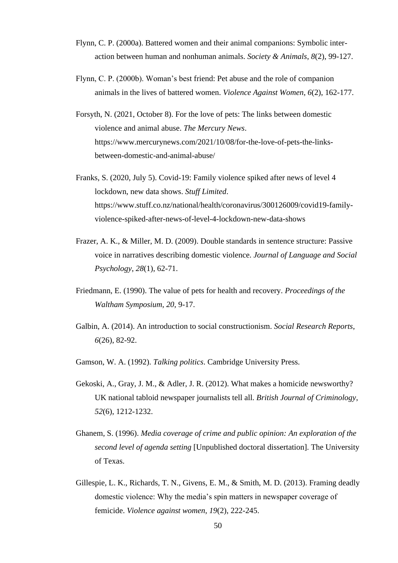- Flynn, C. P. (2000a). Battered women and their animal companions: Symbolic interaction between human and nonhuman animals. *Society & Animals*, *8*(2), 99-127.
- Flynn, C. P. (2000b). Woman's best friend: Pet abuse and the role of companion animals in the lives of battered women. *Violence Against Women*, *6*(2), 162-177.
- Forsyth, N. (2021, October 8). For the love of pets: The links between domestic violence and animal abuse. *The Mercury News*. https://www.mercurynews.com/2021/10/08/for-the-love-of-pets-the-linksbetween-domestic-and-animal-abuse/
- Franks, S. (2020, July 5). Covid-19: Family violence spiked after news of level 4 lockdown, new data shows. *Stuff Limited*. https://www.stuff.co.nz/national/health/coronavirus/300126009/covid19-familyviolence-spiked-after-news-of-level-4-lockdown-new-data-shows
- Frazer, A. K., & Miller, M. D. (2009). Double standards in sentence structure: Passive voice in narratives describing domestic violence. *Journal of Language and Social Psychology*, *28*(1), 62-71.
- Friedmann, E. (1990). The value of pets for health and recovery. *Proceedings of the Waltham Symposium*, *20*, 9-17.
- Galbin, A. (2014). An introduction to social constructionism. *Social Research Reports*, *6*(26), 82-92.
- Gamson, W. A. (1992). *Talking politics*. Cambridge University Press.
- Gekoski, A., Gray, J. M., & Adler, J. R. (2012). What makes a homicide newsworthy? UK national tabloid newspaper journalists tell all. *British Journal of Criminology*, *52*(6), 1212-1232.
- Ghanem, S. (1996). *Media coverage of crime and public opinion: An exploration of the second level of agenda setting* [Unpublished doctoral dissertation]. The University of Texas.
- Gillespie, L. K., Richards, T. N., Givens, E. M., & Smith, M. D. (2013). Framing deadly domestic violence: Why the media's spin matters in newspaper coverage of femicide. *Violence against women*, *19*(2), 222-245.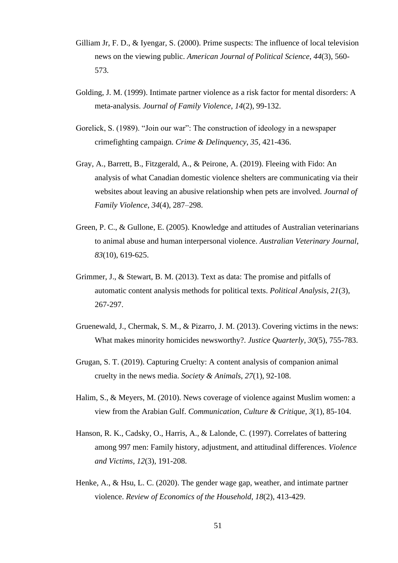- Gilliam Jr, F. D., & Iyengar, S. (2000). Prime suspects: The influence of local television news on the viewing public. *American Journal of Political Science*, *44*(3), 560- 573.
- Golding, J. M. (1999). Intimate partner violence as a risk factor for mental disorders: A meta-analysis. *Journal of Family Violence*, *14*(2), 99-132.
- Gorelick, S. (1989). "Join our war": The construction of ideology in a newspaper crimefighting campaign. *Crime & Delinquency*, *35*, 421-436.
- Gray, A., Barrett, B., Fitzgerald, A., & Peirone, A. (2019). Fleeing with Fido: An analysis of what Canadian domestic violence shelters are communicating via their websites about leaving an abusive relationship when pets are involved. *Journal of Family Violence*, *34*(4), 287–298.
- Green, P. C., & Gullone, E. (2005). Knowledge and attitudes of Australian veterinarians to animal abuse and human interpersonal violence. *Australian Veterinary Journal*, *83*(10), 619-625.
- Grimmer, J., & Stewart, B. M. (2013). Text as data: The promise and pitfalls of automatic content analysis methods for political texts. *Political Analysis*, *21*(3), 267-297.
- Gruenewald, J., Chermak, S. M., & Pizarro, J. M. (2013). Covering victims in the news: What makes minority homicides newsworthy?. *Justice Quarterly*, *30*(5), 755-783.
- Grugan, S. T. (2019). Capturing Cruelty: A content analysis of companion animal cruelty in the news media. *Society & Animals*, *27*(1), 92-108.
- Halim, S., & Meyers, M. (2010). News coverage of violence against Muslim women: a view from the Arabian Gulf. *Communication, Culture & Critique*, *3*(1), 85-104.
- Hanson, R. K., Cadsky, O., Harris, A., & Lalonde, C. (1997). Correlates of battering among 997 men: Family history, adjustment, and attitudinal differences. *Violence and Victims*, *12*(3), 191-208.
- Henke, A., & Hsu, L. C. (2020). The gender wage gap, weather, and intimate partner violence. *Review of Economics of the Household*, *18*(2), 413-429.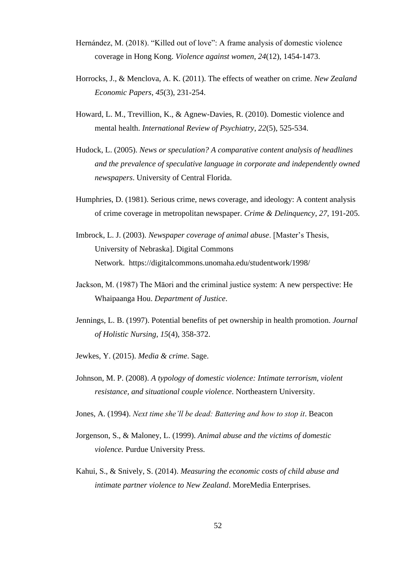- Hernández, M. (2018). "Killed out of love": A frame analysis of domestic violence coverage in Hong Kong. *Violence against women*, *24*(12), 1454-1473.
- Horrocks, J., & Menclova, A. K. (2011). The effects of weather on crime. *New Zealand Economic Papers*, *45*(3), 231-254.
- Howard, L. M., Trevillion, K., & Agnew-Davies, R. (2010). Domestic violence and mental health. *International Review of Psychiatry*, *22*(5), 525-534.
- Hudock, L. (2005). *News or speculation? A comparative content analysis of headlines and the prevalence of speculative language in corporate and independently owned newspapers*. University of Central Florida.
- Humphries, D. (1981). Serious crime, news coverage, and ideology: A content analysis of crime coverage in metropolitan newspaper. *Crime & Delinquency*, *27*, 191-205.
- Imbrock, L. J. (2003). *Newspaper coverage of animal abuse*. [Master's Thesis, University of Nebraska]. Digital Commons Network. https://digitalcommons.unomaha.edu/studentwork/1998/
- Jackson, M. (1987) The Māori and the criminal justice system: A new perspective: He Whaipaanga Hou. *Department of Justice*.
- Jennings, L. B. (1997). Potential benefits of pet ownership in health promotion. *Journal of Holistic Nursing*, *15*(4), 358-372.
- Jewkes, Y. (2015). *Media & crime*. Sage.
- Johnson, M. P. (2008). *A typology of domestic violence: Intimate terrorism, violent resistance, and situational couple violence*. Northeastern University.
- Jones, A. (1994). *Next time she'll be dead: Battering and how to stop it*. Beacon
- Jorgenson, S., & Maloney, L. (1999). *Animal abuse and the victims of domestic violence.* Purdue University Press.
- Kahui, S., & Snively, S. (2014). *Measuring the economic costs of child abuse and intimate partner violence to New Zealand*. MoreMedia Enterprises.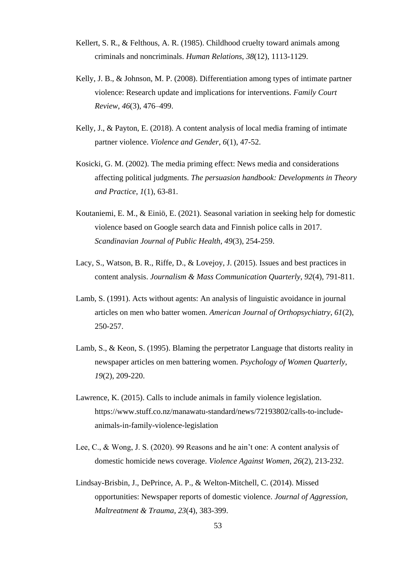- Kellert, S. R., & Felthous, A. R. (1985). Childhood cruelty toward animals among criminals and noncriminals. *Human Relations*, *38*(12), 1113-1129.
- Kelly, J. B., & Johnson, M. P. (2008). Differentiation among types of intimate partner violence: Research update and implications for interventions. *Family Court Review*, *46*(3), 476–499.
- Kelly, J., & Payton, E. (2018). A content analysis of local media framing of intimate partner violence. *Violence and Gender*, *6*(1), 47-52.
- Kosicki, G. M. (2002). The media priming effect: News media and considerations affecting political judgments. *The persuasion handbook: Developments in Theory and Practice*, *1*(1), 63-81.
- Koutaniemi, E. M., & Einiö, E. (2021). Seasonal variation in seeking help for domestic violence based on Google search data and Finnish police calls in 2017. *Scandinavian Journal of Public Health*, *49*(3), 254-259.
- Lacy, S., Watson, B. R., Riffe, D., & Lovejoy, J. (2015). Issues and best practices in content analysis. *Journalism & Mass Communication Quarterly*, *92*(4), 791-811.
- Lamb, S. (1991). Acts without agents: An analysis of linguistic avoidance in journal articles on men who batter women. *American Journal of Orthopsychiatry*, *61*(2), 250-257.
- Lamb, S., & Keon, S. (1995). Blaming the perpetrator Language that distorts reality in newspaper articles on men battering women. *Psychology of Women Quarterly*, *19*(2), 209-220.
- Lawrence, K. (2015). Calls to include animals in family violence legislation. https://www.stuff.co.nz/manawatu-standard/news/72193802/calls-to-includeanimals-in-family-violence-legislation
- Lee, C., & Wong, J. S. (2020). 99 Reasons and he ain't one: A content analysis of domestic homicide news coverage. *Violence Against Women*, *26*(2), 213-232.
- Lindsay-Brisbin, J., DePrince, A. P., & Welton-Mitchell, C. (2014). Missed opportunities: Newspaper reports of domestic violence. *Journal of Aggression, Maltreatment & Trauma*, *23*(4), 383-399.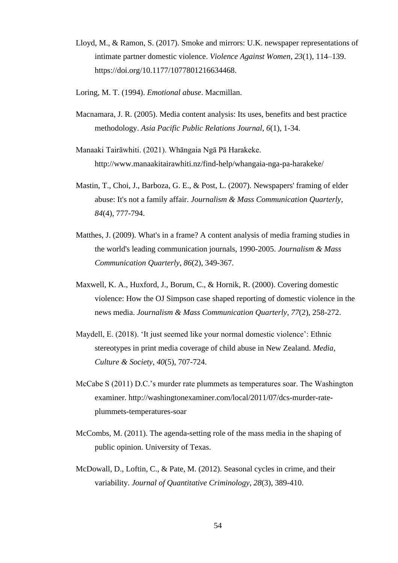- Lloyd, M., & Ramon, S. (2017). Smoke and mirrors: U.K. newspaper representations of intimate partner domestic violence. *Violence Against Women*, *23*(1), 114–139. https://doi.org/10.1177/1077801216634468.
- Loring, M. T. (1994). *Emotional abuse*. Macmillan.
- Macnamara, J. R. (2005). Media content analysis: Its uses, benefits and best practice methodology. *Asia Pacific Public Relations Journal*, *6*(1), 1-34.
- Manaaki Tairāwhiti. (2021). Whāngaia Ngā Pā Harakeke. http://www.manaakitairawhiti.nz/find-help/whangaia-nga-pa-harakeke/
- Mastin, T., Choi, J., Barboza, G. E., & Post, L. (2007). Newspapers' framing of elder abuse: It's not a family affair. *Journalism & Mass Communication Quarterly*, *84*(4), 777-794.
- Matthes, J. (2009). What's in a frame? A content analysis of media framing studies in the world's leading communication journals, 1990-2005. *Journalism & Mass Communication Quarterly*, *86*(2), 349-367.
- Maxwell, K. A., Huxford, J., Borum, C., & Hornik, R. (2000). Covering domestic violence: How the OJ Simpson case shaped reporting of domestic violence in the news media. *Journalism & Mass Communication Quarterly*, *77*(2), 258-272.
- Maydell, E. (2018). 'It just seemed like your normal domestic violence': Ethnic stereotypes in print media coverage of child abuse in New Zealand. *Media, Culture & Society*, *40*(5), 707-724.
- McCabe S (2011) D.C.'s murder rate plummets as temperatures soar. The Washington examiner. http://washingtonexaminer.com/local/2011/07/dcs-murder-rateplummets-temperatures-soar
- McCombs, M. (2011). The agenda-setting role of the mass media in the shaping of public opinion. University of Texas.
- McDowall, D., Loftin, C., & Pate, M. (2012). Seasonal cycles in crime, and their variability. *Journal of Quantitative Criminology*, *28*(3), 389-410.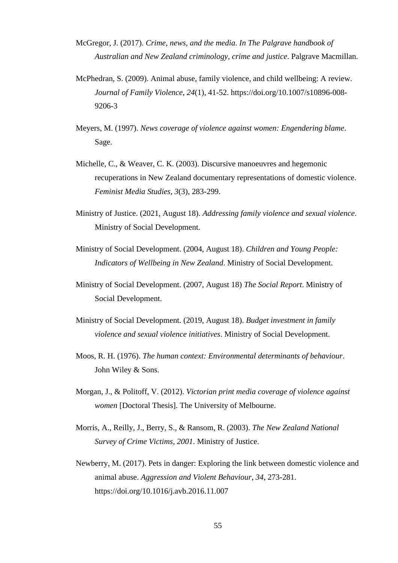- McGregor, J. (2017). *Crime, news, and the media*. *In The Palgrave handbook of Australian and New Zealand criminology, crime and justice*. Palgrave Macmillan.
- McPhedran, S. (2009). Animal abuse, family violence, and child wellbeing: A review. *Journal of Family Violence*, *24*(1), 41-52. https://doi.org/10.1007/s10896-008- 9206-3
- Meyers, M. (1997). *News coverage of violence against women: Engendering blame*. Sage.
- Michelle, C., & Weaver, C. K. (2003). Discursive manoeuvres and hegemonic recuperations in New Zealand documentary representations of domestic violence. *Feminist Media Studies*, *3*(3), 283-299.
- Ministry of Justice. (2021, August 18). *Addressing family violence and sexual violence*. Ministry of Social Development.
- Ministry of Social Development. (2004, August 18). *Children and Young People: Indicators of Wellbeing in New Zealand*. Ministry of Social Development.
- Ministry of Social Development. (2007, August 18) *The Social Report*. Ministry of Social Development.
- Ministry of Social Development. (2019, August 18). *Budget investment in family violence and sexual violence initiatives*. Ministry of Social Development.
- Moos, R. H. (1976). *The human context: Environmental determinants of behaviour*. John Wiley & Sons.
- Morgan, J., & Politoff, V. (2012). *Victorian print media coverage of violence against women* [Doctoral Thesis]. The University of Melbourne.
- Morris, A., Reilly, J., Berry, S., & Ransom, R. (2003). *The New Zealand National Survey of Crime Victims, 2001*. Ministry of Justice.
- Newberry, M. (2017). Pets in danger: Exploring the link between domestic violence and animal abuse. *Aggression and Violent Behaviour*, *34*, 273-281. https://doi.org/10.1016/j.avb.2016.11.007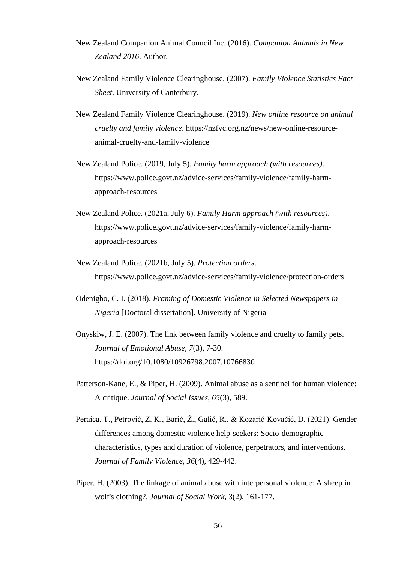- New Zealand Companion Animal Council Inc. (2016). *Companion Animals in New Zealand 2016*. Author.
- New Zealand Family Violence Clearinghouse. (2007). *Family Violence Statistics Fact Sheet*. University of Canterbury.
- New Zealand Family Violence Clearinghouse. (2019). *New online resource on animal cruelty and family violence*. https://nzfvc.org.nz/news/new-online-resourceanimal-cruelty-and-family-violence
- New Zealand Police. (2019, July 5). *Family harm approach (with resources)*. https://www.police.govt.nz/advice-services/family-violence/family-harmapproach-resources
- New Zealand Police. (2021a, July 6). *Family Harm approach (with resources)*. https://www.police.govt.nz/advice-services/family-violence/family-harmapproach-resources
- New Zealand Police. (2021b, July 5). *Protection orders*. https://www.police.govt.nz/advice-services/family-violence/protection-orders
- Odenigbo, C. I. (2018). *Framing of Domestic Violence in Selected Newspapers in Nigeria* [Doctoral dissertation]. University of Nigeria
- Onyskiw, J. E. (2007). The link between family violence and cruelty to family pets. *Journal of Emotional Abuse*, *7*(3), 7-30. https://doi.org/10.1080/10926798.2007.10766830
- Patterson-Kane, E., & Piper, H. (2009). Animal abuse as a sentinel for human violence: A critique. *Journal of Social Issues*, *65*(3), 589.
- Peraica, T., Petrović, Z. K., Barić, Ž., Galić, R., & Kozarić-Kovačić, D. (2021). Gender differences among domestic violence help-seekers: Socio-demographic characteristics, types and duration of violence, perpetrators, and interventions. *Journal of Family Violence*, *36*(4), 429-442.
- Piper, H. (2003). The linkage of animal abuse with interpersonal violence: A sheep in wolf's clothing?. *Journal of Social Work*, 3(2), 161-177.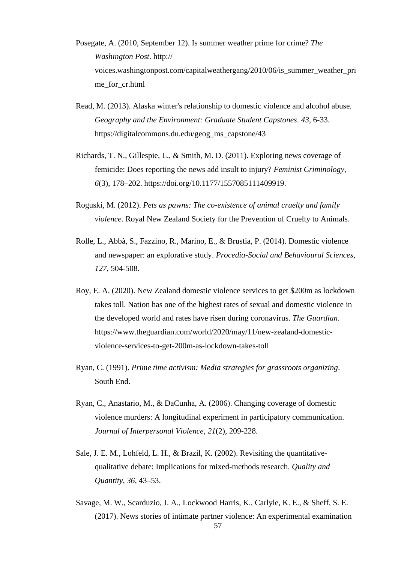- Posegate, A. (2010, September 12). Is summer weather prime for crime? *The Washington Post*. http:// voices.washingtonpost.com/capitalweathergang/2010/06/is\_summer\_weather\_pri me\_for\_cr.html
- Read, M. (2013). Alaska winter's relationship to domestic violence and alcohol abuse. *Geography and the Environment: Graduate Student Capstones*. *43*, 6-33. https://digitalcommons.du.edu/geog\_ms\_capstone/43
- Richards, T. N., Gillespie, L., & Smith, M. D. (2011). Exploring news coverage of femicide: Does reporting the news add insult to injury? *Feminist Criminology*, *6*(3), 178–202. https://doi.org/10.1177/1557085111409919.
- Roguski, M. (2012). *Pets as pawns: The co-existence of animal cruelty and family violence*. Royal New Zealand Society for the Prevention of Cruelty to Animals.
- Rolle, L., Abbà, S., Fazzino, R., Marino, E., & Brustia, P. (2014). Domestic violence and newspaper: an explorative study. *Procedia-Social and Behavioural Sciences*, *127*, 504-508.
- Roy, E. A. (2020). New Zealand domestic violence services to get \$200m as lockdown takes toll. Nation has one of the highest rates of sexual and domestic violence in the developed world and rates have risen during coronavirus. *The Guardian*. https://www.theguardian.com/world/2020/may/11/new-zealand-domesticviolence-services-to-get-200m-as-lockdown-takes-toll
- Ryan, C. (1991). *Prime time activism: Media strategies for grassroots organizing*. South End.
- Ryan, C., Anastario, M., & DaCunha, A. (2006). Changing coverage of domestic violence murders: A longitudinal experiment in participatory communication. *Journal of Interpersonal Violence*, *21*(2), 209-228.
- Sale, J. E. M., Lohfeld, L. H., & Brazil, K. (2002). Revisiting the quantitativequalitative debate: Implications for mixed-methods research. *Quality and Quantity*, *36*, 43–53.
- Savage, M. W., Scarduzio, J. A., Lockwood Harris, K., Carlyle, K. E., & Sheff, S. E. (2017). News stories of intimate partner violence: An experimental examination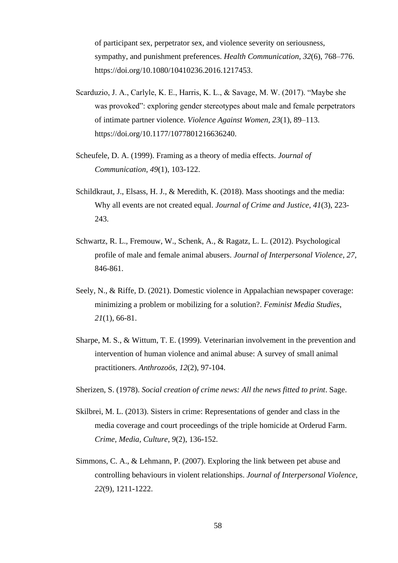of participant sex, perpetrator sex, and violence severity on seriousness, sympathy, and punishment preferences. *Health Communication*, *32*(6), 768–776. https://doi.org/10.1080/10410236.2016.1217453.

- Scarduzio, J. A., Carlyle, K. E., Harris, K. L., & Savage, M. W. (2017). "Maybe she was provoked": exploring gender stereotypes about male and female perpetrators of intimate partner violence. *Violence Against Women*, *23*(1), 89–113. https://doi.org/10.1177/1077801216636240.
- Scheufele, D. A. (1999). Framing as a theory of media effects. *Journal of Communication*, *49*(1), 103-122.
- Schildkraut, J., Elsass, H. J., & Meredith, K. (2018). Mass shootings and the media: Why all events are not created equal. *Journal of Crime and Justice*, *41*(3), 223- 243.
- Schwartz, R. L., Fremouw, W., Schenk, A., & Ragatz, L. L. (2012). Psychological profile of male and female animal abusers. *Journal of Interpersonal Violence*, *27*, 846-861.
- Seely, N., & Riffe, D. (2021). Domestic violence in Appalachian newspaper coverage: minimizing a problem or mobilizing for a solution?. *Feminist Media Studies*, *21*(1), 66-81.
- Sharpe, M. S., & Wittum, T. E. (1999). Veterinarian involvement in the prevention and intervention of human violence and animal abuse: A survey of small animal practitioners. *Anthrozoös*, *12*(2), 97-104.
- Sherizen, S. (1978). *Social creation of crime news: All the news fitted to print*. Sage.
- Skilbrei, M. L. (2013). Sisters in crime: Representations of gender and class in the media coverage and court proceedings of the triple homicide at Orderud Farm. *Crime, Media, Culture*, *9*(2), 136-152.
- Simmons, C. A., & Lehmann, P. (2007). Exploring the link between pet abuse and controlling behaviours in violent relationships. *Journal of Interpersonal Violence*, *22*(9), 1211-1222.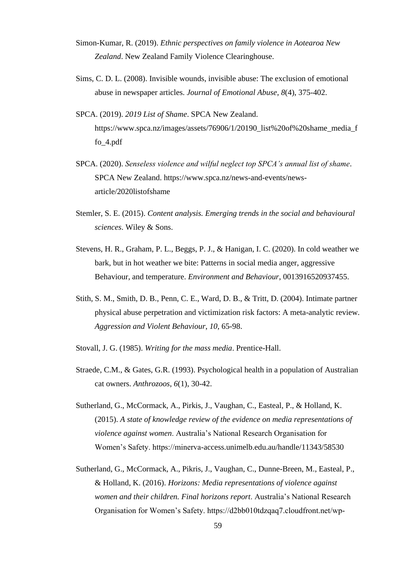- Simon-Kumar, R. (2019). *Ethnic perspectives on family violence in Aotearoa New Zealand*. New Zealand Family Violence Clearinghouse.
- Sims, C. D. L. (2008). Invisible wounds, invisible abuse: The exclusion of emotional abuse in newspaper articles. *Journal of Emotional Abuse*, *8*(4), 375-402.
- SPCA. (2019). *2019 List of Shame*. SPCA New Zealand. https://www.spca.nz/images/assets/76906/1/20190\_list%20of%20shame\_media\_f fo\_4.pdf
- SPCA. (2020). *Senseless violence and wilful neglect top SPCA's annual list of shame*. SPCA New Zealand. https://www.spca.nz/news-and-events/newsarticle/2020listofshame
- Stemler, S. E. (2015). *Content analysis. Emerging trends in the social and behavioural sciences*. Wiley & Sons.
- Stevens, H. R., Graham, P. L., Beggs, P. J., & Hanigan, I. C. (2020). In cold weather we bark, but in hot weather we bite: Patterns in social media anger, aggressive Behaviour, and temperature. *Environment and Behaviour*, 0013916520937455.
- Stith, S. M., Smith, D. B., Penn, C. E., Ward, D. B., & Tritt, D. (2004). Intimate partner physical abuse perpetration and victimization risk factors: A meta-analytic review. *Aggression and Violent Behaviour*, *10*, 65-98.
- Stovall, J. G. (1985). *Writing for the mass media*. Prentice-Hall.
- Straede, C.M., & Gates, G.R. (1993). Psychological health in a population of Australian cat owners. *Anthrozoos*, *6*(1), 30-42.
- Sutherland, G., McCormack, A., Pirkis, J., Vaughan, C., Easteal, P., & Holland, K. (2015). *A state of knowledge review of the evidence on media representations of violence against women*. Australia's National Research Organisation for Women's Safety. https://minerva-access.unimelb.edu.au/handle/11343/58530
- Sutherland, G., McCormack, A., Pikris, J., Vaughan, C., Dunne-Breen, M., Easteal, P., & Holland, K. (2016). *Horizons: Media representations of violence against women and their children. Final horizons report*. Australia's National Research Organisation for Women's Safety. https://d2bb010tdzqaq7.cloudfront.net/wp-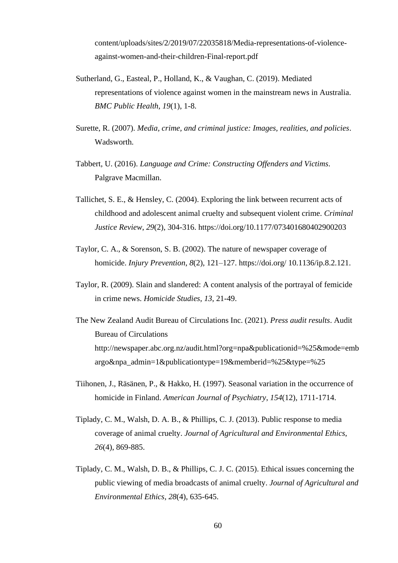content/uploads/sites/2/2019/07/22035818/Media-representations-of-violenceagainst-women-and-their-children-Final-report.pdf

- Sutherland, G., Easteal, P., Holland, K., & Vaughan, C. (2019). Mediated representations of violence against women in the mainstream news in Australia. *BMC Public Health*, *19*(1), 1-8.
- Surette, R. (2007). *Media, crime, and criminal justice: Images, realities, and policies*. Wadsworth.
- Tabbert, U. (2016). *Language and Crime: Constructing Offenders and Victims*. Palgrave Macmillan.
- Tallichet, S. E., & Hensley, C. (2004). Exploring the link between recurrent acts of childhood and adolescent animal cruelty and subsequent violent crime. *Criminal Justice Review*, *29*(2), 304-316. https://doi.org/10.1177/073401680402900203
- Taylor, C. A., & Sorenson, S. B. (2002). The nature of newspaper coverage of homicide. *Injury Prevention*, *8*(2), 121–127. https://doi.org/ 10.1136/ip.8.2.121.
- Taylor, R. (2009). Slain and slandered: A content analysis of the portrayal of femicide in crime news. *Homicide Studies*, *13*, 21-49.
- The New Zealand Audit Bureau of Circulations Inc. (2021). *Press audit results*. Audit Bureau of Circulations http://newspaper.abc.org.nz/audit.html?org=npa&publicationid=%25&mode=emb argo&npa\_admin=1&publicationtype=19&memberid=%25&type=%25
- Tiihonen, J., Räsänen, P., & Hakko, H. (1997). Seasonal variation in the occurrence of homicide in Finland. *American Journal of Psychiatry*, *154*(12), 1711-1714.
- Tiplady, C. M., Walsh, D. A. B., & Phillips, C. J. (2013). Public response to media coverage of animal cruelty. *Journal of Agricultural and Environmental Ethics*, *26*(4), 869-885.
- Tiplady, C. M., Walsh, D. B., & Phillips, C. J. C. (2015). Ethical issues concerning the public viewing of media broadcasts of animal cruelty. *Journal of Agricultural and Environmental Ethics*, *28*(4), 635-645.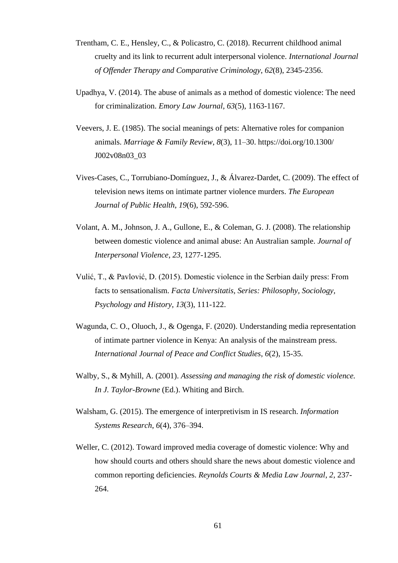- Trentham, C. E., Hensley, C., & Policastro, C. (2018). Recurrent childhood animal cruelty and its link to recurrent adult interpersonal violence. *International Journal of Offender Therapy and Comparative Criminology*, *62*(8), 2345-2356.
- Upadhya, V. (2014). The abuse of animals as a method of domestic violence: The need for criminalization. *Emory Law Journal*, *63*(5), 1163-1167.
- Veevers, J. E. (1985). The social meanings of pets: Alternative roles for companion animals. *Marriage & Family Review*, *8*(3), 11–30. https://doi.org/10.1300/ J002v08n03\_03
- Vives-Cases, C., Torrubiano-Domínguez, J., & Álvarez-Dardet, C. (2009). The effect of television news items on intimate partner violence murders. *The European Journal of Public Health*, *19*(6), 592-596.
- Volant, A. M., Johnson, J. A., Gullone, E., & Coleman, G. J. (2008). The relationship between domestic violence and animal abuse: An Australian sample. *Journal of Interpersonal Violence*, *23*, 1277-1295.
- Vulić, T., & Pavlović, D. (2015). Domestic violence in the Serbian daily press: From facts to sensationalism. *Facta Universitatis, Series: Philosophy, Sociology, Psychology and History*, *13*(3), 111-122.
- Wagunda, C. O., Oluoch, J., & Ogenga, F. (2020). Understanding media representation of intimate partner violence in Kenya: An analysis of the mainstream press. *International Journal of Peace and Conflict Studies*, *6*(2), 15-35.
- Walby, S., & Myhill, A. (2001). *Assessing and managing the risk of domestic violence. In J. Taylor-Browne* (Ed.). Whiting and Birch.
- Walsham, G. (2015). The emergence of interpretivism in IS research. *Information Systems Research*, *6*(4), 376–394.
- Weller, C. (2012). Toward improved media coverage of domestic violence: Why and how should courts and others should share the news about domestic violence and common reporting deficiencies. *Reynolds Courts & Media Law Journal*, *2*, 237- 264.